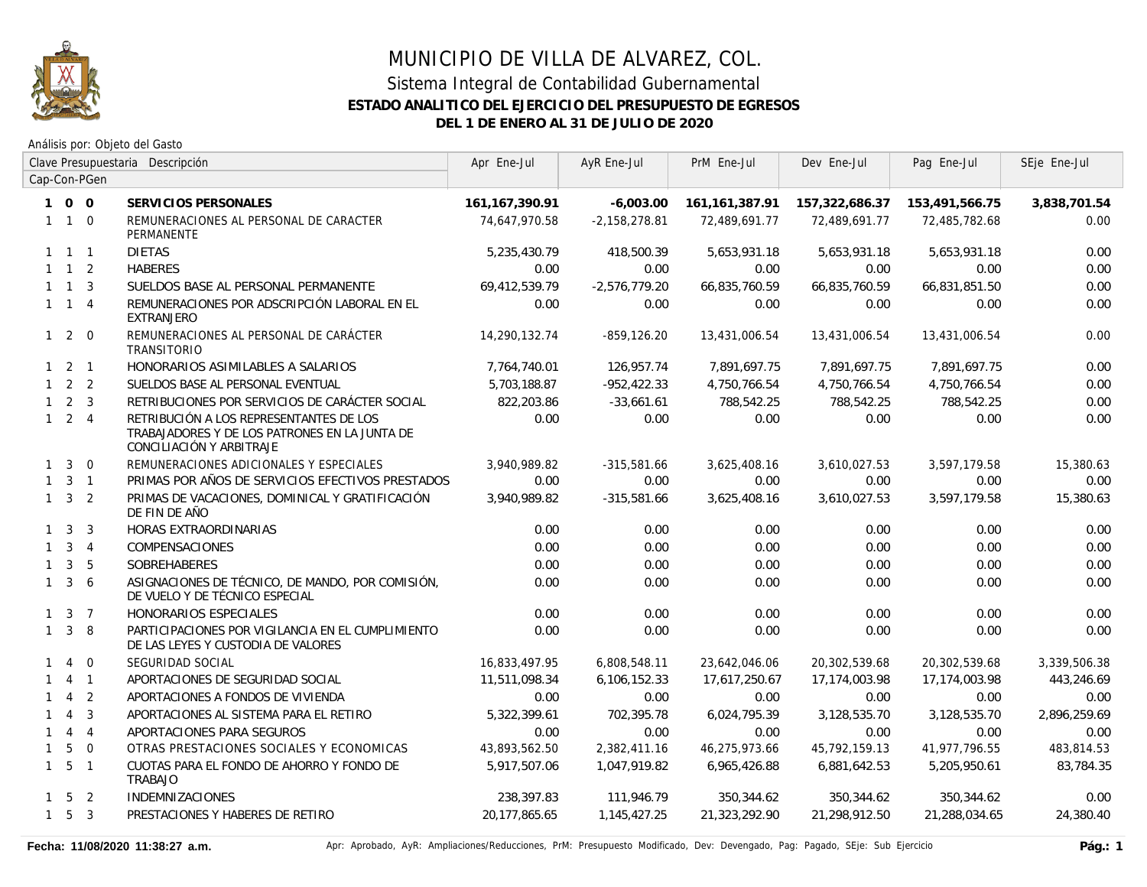

Análisis por: Objeto del Gasto

|              | Clave Presupuestaria Descripción |                | Apr Ene-Jul                                                                                                          | AyR Ene-Jul      | PrM Ene-Jul     | Dev Ene-Jul       | Pag Ene-Jul    | SEje Ene-Jul   |              |
|--------------|----------------------------------|----------------|----------------------------------------------------------------------------------------------------------------------|------------------|-----------------|-------------------|----------------|----------------|--------------|
|              |                                  | Cap-Con-PGen   |                                                                                                                      |                  |                 |                   |                |                |              |
|              | 100                              |                | SERVICIOS PERSONALES                                                                                                 | 161, 167, 390.91 | $-6,003.00$     | 161, 161, 387. 91 | 157,322,686.37 | 153,491,566.75 | 3,838,701.54 |
|              | $1 1 0$                          |                | REMUNERACIONES AL PERSONAL DE CARACTER<br><b>PERMANENTE</b>                                                          | 74,647,970.58    | $-2,158,278.81$ | 72,489,691.77     | 72,489,691.77  | 72,485,782.68  | 0.00         |
|              | $1 \quad 1 \quad 1$              |                | <b>DIETAS</b>                                                                                                        | 5,235,430.79     | 418,500.39      | 5,653,931.18      | 5,653,931.18   | 5,653,931.18   | 0.00         |
|              | $1 \quad 1 \quad 2$              |                | <b>HABERES</b>                                                                                                       | 0.00             | 0.00            | 0.00              | 0.00           | 0.00           | 0.00         |
|              | $1 \quad 1 \quad 3$              |                | SUELDOS BASE AL PERSONAL PERMANENTE                                                                                  | 69,412,539.79    | $-2,576,779.20$ | 66,835,760.59     | 66,835,760.59  | 66,831,851.50  | 0.00         |
|              | $1 \quad 1 \quad 4$              |                | REMUNERACIONES POR ADSCRIPCIÓN LABORAL EN EL<br><b>EXTRANJERO</b>                                                    | 0.00             | 0.00            | 0.00              | 0.00           | 0.00           | 0.00         |
|              | $1 \quad 2 \quad 0$              |                | REMUNERACIONES AL PERSONAL DE CARÁCTER<br><b>TRANSITORIO</b>                                                         | 14,290,132.74    | $-859, 126.20$  | 13,431,006.54     | 13,431,006.54  | 13,431,006.54  | 0.00         |
|              | $1 \quad 2 \quad 1$              |                | HONORARIOS ASIMILABLES A SALARIOS                                                                                    | 7,764,740.01     | 126,957.74      | 7,891,697.75      | 7,891,697.75   | 7,891,697.75   | 0.00         |
|              | $1 \quad 2 \quad 2$              |                | SUELDOS BASE AL PERSONAL EVENTUAL                                                                                    | 5,703,188.87     | $-952, 422.33$  | 4,750,766.54      | 4,750,766.54   | 4,750,766.54   | 0.00         |
| $\mathbf{1}$ |                                  | 2 <sup>3</sup> | RETRIBUCIONES POR SERVICIOS DE CARÁCTER SOCIAL                                                                       | 822,203.86       | $-33,661.61$    | 788,542.25        | 788,542.25     | 788,542.25     | 0.00         |
|              | $1 \quad 2 \quad 4$              |                | RETRIBUCIÓN A LOS REPRESENTANTES DE LOS<br>TRABAJADORES Y DE LOS PATRONES EN LA JUNTA DE<br>CONCILIACIÓN Y ARBITRAJE | 0.00             | 0.00            | 0.00              | 0.00           | 0.00           | 0.00         |
| $\mathbf{1}$ | $\mathbf{3}$                     | $\overline{0}$ | REMUNERACIONES ADICIONALES Y ESPECIALES                                                                              | 3,940,989.82     | $-315,581.66$   | 3,625,408.16      | 3,610,027.53   | 3,597,179.58   | 15,380.63    |
| $\mathbf{1}$ |                                  | $3 \quad 1$    | PRIMAS POR AÑOS DE SERVICIOS EFECTIVOS PRESTADOS                                                                     | 0.00             | 0.00            | 0.00              | 0.00           | 0.00           | 0.00         |
|              | $1 \quad 3 \quad 2$              |                | PRIMAS DE VACACIONES, DOMINICAL Y GRATIFICACIÓN<br>DE FIN DE AÑO                                                     | 3.940.989.82     | $-315,581.66$   | 3,625,408.16      | 3,610,027.53   | 3.597.179.58   | 15,380.63    |
|              | $1 \quad 3$                      | 3              | <b>HORAS EXTRAORDINARIAS</b>                                                                                         | 0.00             | 0.00            | 0.00              | 0.00           | 0.00           | 0.00         |
|              | $1 \quad 3 \quad 4$              |                | <b>COMPENSACIONES</b>                                                                                                | 0.00             | 0.00            | 0.00              | 0.00           | 0.00           | 0.00         |
| $\mathbf{1}$ | $\mathbf{3}$                     | 5              | <b>SOBREHABERES</b>                                                                                                  | 0.00             | 0.00            | 0.00              | 0.00           | 0.00           | 0.00         |
| $\mathbf{1}$ | 3 <sup>1</sup>                   | -6             | ASIGNACIONES DE TÉCNICO, DE MANDO, POR COMISIÓN,<br>DE VUELO Y DE TÉCNICO ESPECIAL                                   | 0.00             | 0.00            | 0.00              | 0.00           | 0.00           | 0.00         |
| $\mathbf{1}$ |                                  | 3 7            | <b>HONORARIOS ESPECIALES</b>                                                                                         | 0.00             | 0.00            | 0.00              | 0.00           | 0.00           | 0.00         |
| $\mathbf{1}$ | $\overline{3}$                   | 8              | PARTICIPACIONES POR VIGILANCIA EN EL CUMPLIMIENTO<br>DE LAS LEYES Y CUSTODIA DE VALORES                              | 0.00             | 0.00            | 0.00              | 0.00           | 0.00           | 0.00         |
| $\mathbf{1}$ | $\overline{4}$                   | $\Omega$       | SEGURIDAD SOCIAL                                                                                                     | 16,833,497.95    | 6,808,548.11    | 23,642,046.06     | 20,302,539.68  | 20,302,539.68  | 3,339,506.38 |
| $\mathbf{1}$ |                                  | 4 1            | APORTACIONES DE SEGURIDAD SOCIAL                                                                                     | 11,511,098.34    | 6,106,152.33    | 17,617,250.67     | 17,174,003.98  | 17,174,003.98  | 443,246.69   |
|              | $\overline{4}$                   | 2              | APORTACIONES A FONDOS DE VIVIENDA                                                                                    | 0.00             | 0.00            | 0.00              | 0.00           | 0.00           | 0.00         |
| $\mathbf{1}$ | $\overline{4}$                   | $\overline{3}$ | APORTACIONES AL SISTEMA PARA EL RETIRO                                                                               | 5,322,399.61     | 702,395.78      | 6,024,795.39      | 3,128,535.70   | 3,128,535.70   | 2,896,259.69 |
| $\mathbf{1}$ | $\overline{4}$                   | $\overline{4}$ | APORTACIONES PARA SEGUROS                                                                                            | 0.00             | 0.00            | 0.00              | 0.00           | 0.00           | 0.00         |
| $\mathbf{1}$ | 5                                | $\overline{0}$ | OTRAS PRESTACIONES SOCIALES Y ECONOMICAS                                                                             | 43,893,562.50    | 2,382,411.16    | 46,275,973.66     | 45,792,159.13  | 41,977,796.55  | 483,814.53   |
|              | $1\quad 5$                       | $\overline{1}$ | CUOTAS PARA EL FONDO DE AHORRO Y FONDO DE<br>TRABAJO                                                                 | 5,917,507.06     | 1,047,919.82    | 6,965,426.88      | 6,881,642.53   | 5,205,950.61   | 83,784.35    |
|              | $1\quad 5\quad 2$                |                | <b>INDEMNIZACIONES</b>                                                                                               | 238,397.83       | 111,946.79      | 350,344.62        | 350,344.62     | 350,344.62     | 0.00         |
|              | $1\quad 5\quad 3$                |                | PRESTACIONES Y HABERES DE RETIRO                                                                                     | 20,177,865.65    | 1,145,427.25    | 21,323,292.90     | 21,298,912.50  | 21,288,034.65  | 24,380.40    |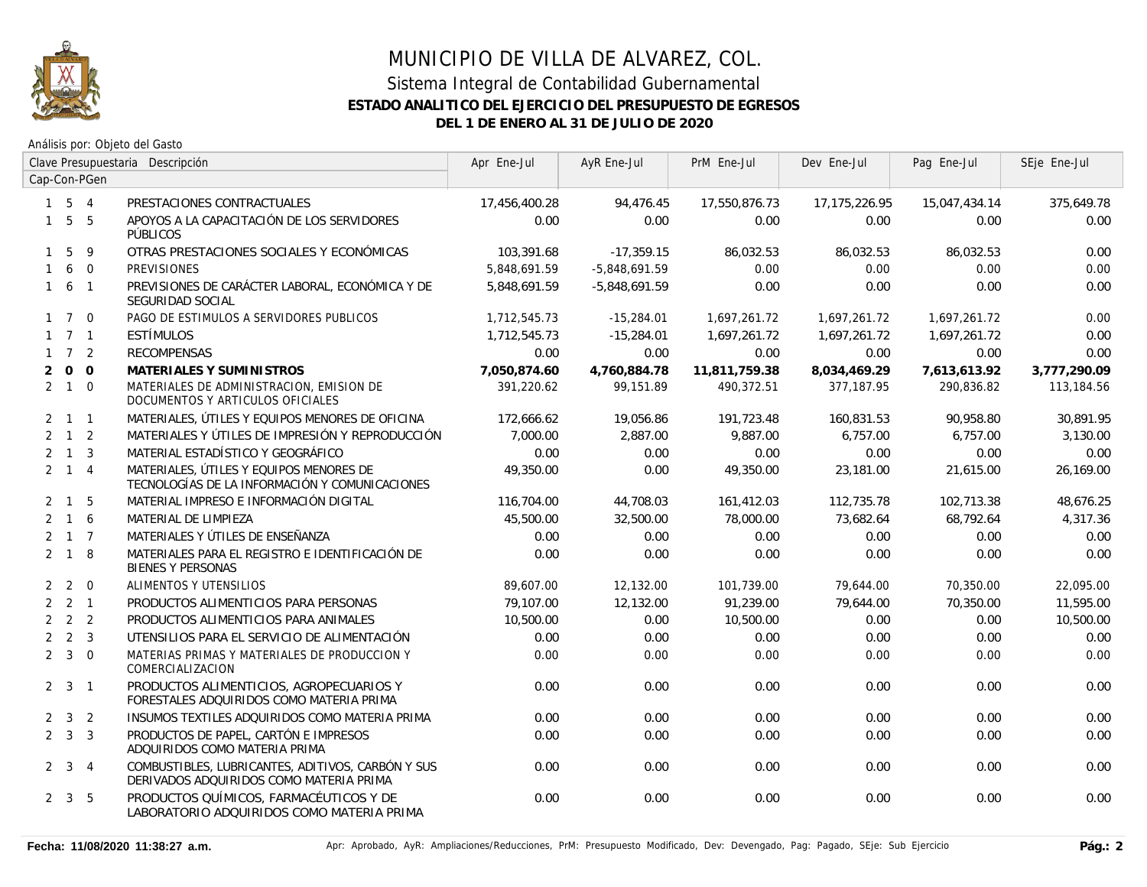

|              |                     |              | Clave Presupuestaria Descripción                                                             | Apr Ene-Jul   | AyR Ene-Jul     | PrM Ene-Jul   | Dev Ene-Jul   | Pag Ene-Jul   | SEje Ene-Jul |
|--------------|---------------------|--------------|----------------------------------------------------------------------------------------------|---------------|-----------------|---------------|---------------|---------------|--------------|
|              |                     | Cap-Con-PGen |                                                                                              |               |                 |               |               |               |              |
|              | $1\quad 5\quad 4$   |              | PRESTACIONES CONTRACTUALES                                                                   | 17,456,400.28 | 94,476.45       | 17,550,876.73 | 17,175,226.95 | 15,047,434.14 | 375,649.78   |
| $\mathbf{1}$ | $5\overline{)}$     | 5            | APOYOS A LA CAPACITACIÓN DE LOS SERVIDORES<br><b>PÚBLICOS</b>                                | 0.00          | 0.00            | 0.00          | 0.00          | 0.00          | 0.00         |
| $\mathbf{1}$ | 5                   | 9            | OTRAS PRESTACIONES SOCIALES Y ECONÓMICAS                                                     | 103,391.68    | $-17,359.15$    | 86,032.53     | 86,032.53     | 86,032.53     | 0.00         |
| $\mathbf{1}$ |                     | 6 0          | <b>PREVISIONES</b>                                                                           | 5.848.691.59  | $-5,848,691.59$ | 0.00          | 0.00          | 0.00          | 0.00         |
| $\mathbf{1}$ | 6 1                 |              | PREVISIONES DE CARÁCTER LABORAL, ECONÓMICA Y DE<br>SEGURIDAD SOCIAL                          | 5,848,691.59  | $-5,848,691.59$ | 0.00          | 0.00          | 0.00          | 0.00         |
|              | $1 \quad 7 \quad 0$ |              | PAGO DE ESTIMULOS A SERVIDORES PUBLICOS                                                      | 1,712,545.73  | $-15,284.01$    | 1,697,261.72  | 1,697,261.72  | 1,697,261.72  | 0.00         |
|              | $1 \quad 7 \quad 1$ |              | ESTÍMULOS                                                                                    | 1,712,545.73  | $-15,284.01$    | 1,697,261.72  | 1,697,261.72  | 1,697,261.72  | 0.00         |
|              | $1 \quad 7 \quad 2$ |              | <b>RECOMPENSAS</b>                                                                           | 0.00          | 0.00            | 0.00          | 0.00          | 0.00          | 0.00         |
| 2            |                     | $0\quad 0$   | MATERIALES Y SUMINISTROS                                                                     | 7.050.874.60  | 4,760,884.78    | 11,811,759.38 | 8,034,469.29  | 7,613,613.92  | 3,777,290.09 |
|              | $2 \quad 1 \quad 0$ |              | MATERIALES DE ADMINISTRACION, EMISION DE<br>DOCUMENTOS Y ARTICULOS OFICIALES                 | 391,220.62    | 99,151.89       | 490,372.51    | 377,187.95    | 290,836.82    | 113,184.56   |
|              | $2 \quad 1 \quad 1$ |              | MATERIALES, ÚTILES Y EQUIPOS MENORES DE OFICINA                                              | 172,666.62    | 19,056.86       | 191,723.48    | 160,831.53    | 90,958.80     | 30,891.95    |
|              | $2 \quad 1 \quad 2$ |              | MATERIALES Y ÚTILES DE IMPRESIÓN Y REPRODUCCIÓN                                              | 7.000.00      | 2,887.00        | 9,887.00      | 6,757.00      | 6.757.00      | 3,130.00     |
|              | $2 \quad 1 \quad 3$ |              | MATERIAL ESTADÍSTICO Y GEOGRÁFICO                                                            | 0.00          | 0.00            | 0.00          | 0.00          | 0.00          | 0.00         |
|              | $2 \quad 1 \quad 4$ |              | MATERIALES, ÚTILES Y EQUIPOS MENORES DE<br>TECNOLOGÍAS DE LA INFORMACIÓN Y COMUNICACIONES    | 49,350.00     | 0.00            | 49,350.00     | 23,181.00     | 21,615.00     | 26,169.00    |
|              | $2 \quad 1 \quad 5$ |              | MATERIAL IMPRESO E INFORMACIÓN DIGITAL                                                       | 116,704.00    | 44,708.03       | 161,412.03    | 112,735.78    | 102,713.38    | 48,676.25    |
| 2            |                     | 1 6          | MATERIAL DE LIMPIEZA                                                                         | 45,500.00     | 32,500.00       | 78,000.00     | 73,682.64     | 68,792.64     | 4,317.36     |
| 2            | $1\quad 7$          |              | MATERIALES Y ÚTILES DE ENSEÑANZA                                                             | 0.00          | 0.00            | 0.00          | 0.00          | 0.00          | 0.00         |
|              | $2 \quad 1 \quad 8$ |              | MATERIALES PARA EL REGISTRO E IDENTIFICACIÓN DE<br><b>BIENES Y PERSONAS</b>                  | 0.00          | 0.00            | 0.00          | 0.00          | 0.00          | 0.00         |
|              | $2\quad 2$          | $\Omega$     | <b>ALIMENTOS Y UTENSILIOS</b>                                                                | 89,607.00     | 12,132.00       | 101,739.00    | 79,644.00     | 70,350.00     | 22,095.00    |
|              | $2 \quad 2 \quad 1$ |              | PRODUCTOS ALIMENTICIOS PARA PERSONAS                                                         | 79,107.00     | 12,132.00       | 91,239.00     | 79,644.00     | 70,350.00     | 11,595.00    |
|              | $2 \quad 2 \quad 2$ |              | PRODUCTOS ALIMENTICIOS PARA ANIMALES                                                         | 10,500.00     | 0.00            | 10,500.00     | 0.00          | 0.00          | 10,500.00    |
|              | $2 \quad 2 \quad 3$ |              | UTENSILIOS PARA EL SERVICIO DE ALIMENTACIÓN                                                  | 0.00          | 0.00            | 0.00          | 0.00          | 0.00          | 0.00         |
|              | $2 \quad 3 \quad 0$ |              | MATERIAS PRIMAS Y MATERIALES DE PRODUCCION Y<br>COMERCIALIZACION                             | 0.00          | 0.00            | 0.00          | 0.00          | 0.00          | 0.00         |
|              | $2 \quad 3 \quad 1$ |              | PRODUCTOS ALIMENTICIOS, AGROPECUARIOS Y<br>FORESTALES ADQUIRIDOS COMO MATERIA PRIMA          | 0.00          | 0.00            | 0.00          | 0.00          | 0.00          | 0.00         |
|              | $2 \quad 3 \quad 2$ |              | INSUMOS TEXTILES ADQUIRIDOS COMO MATERIA PRIMA                                               | 0.00          | 0.00            | 0.00          | 0.00          | 0.00          | 0.00         |
|              | $2 \quad 3 \quad 3$ |              | PRODUCTOS DE PAPEL, CARTÓN E IMPRESOS<br>ADQUIRIDOS COMO MATERIA PRIMA                       | 0.00          | 0.00            | 0.00          | 0.00          | 0.00          | 0.00         |
|              | $2 \quad 3 \quad 4$ |              | COMBUSTIBLES, LUBRICANTES, ADITIVOS, CARBÓN Y SUS<br>DERIVADOS ADQUIRIDOS COMO MATERIA PRIMA | 0.00          | 0.00            | 0.00          | 0.00          | 0.00          | 0.00         |
|              | $2 \quad 3 \quad 5$ |              | PRODUCTOS QUÍMICOS, FARMACÉUTICOS Y DE<br>LABORATORIO ADQUIRIDOS COMO MATERIA PRIMA          | 0.00          | 0.00            | 0.00          | 0.00          | 0.00          | 0.00         |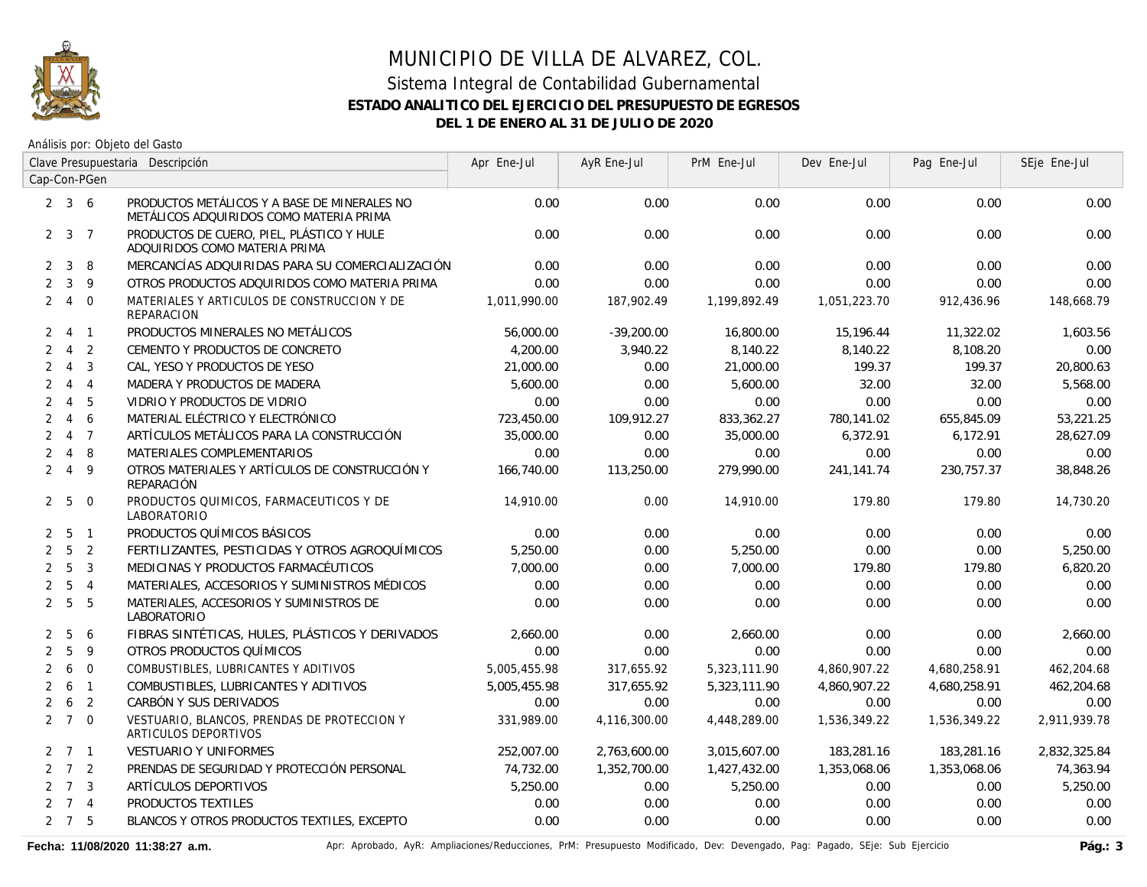

Análisis por: Objeto del Gasto

|                |                     |                | Clave Presupuestaria Descripción                                                        | Apr Ene-Jul  | AyR Ene-Jul  | PrM Ene-Jul  | Dev Ene-Jul  | Pag Ene-Jul  | SEje Ene-Jul |
|----------------|---------------------|----------------|-----------------------------------------------------------------------------------------|--------------|--------------|--------------|--------------|--------------|--------------|
|                |                     | Cap-Con-PGen   |                                                                                         |              |              |              |              |              |              |
|                | $2 \quad 3 \quad 6$ |                | PRODUCTOS METÁLICOS Y A BASE DE MINERALES NO<br>METÁLICOS ADQUIRIDOS COMO MATERIA PRIMA | 0.00         | 0.00         | 0.00         | 0.00         | 0.00         | 0.00         |
|                | $2 \quad 3 \quad 7$ |                | PRODUCTOS DE CUERO, PIEL, PLÁSTICO Y HULE<br>ADQUIRIDOS COMO MATERIA PRIMA              | 0.00         | 0.00         | 0.00         | 0.00         | 0.00         | 0.00         |
| $\overline{2}$ | $\mathbf{3}$        | 8              | MERCANCÍAS ADQUIRIDAS PARA SU COMERCIALIZACIÓN                                          | 0.00         | 0.00         | 0.00         | 0.00         | 0.00         | 0.00         |
| $\overline{2}$ | $\mathbf{3}$        | 9              | OTROS PRODUCTOS ADQUIRIDOS COMO MATERIA PRIMA                                           | 0.00         | 0.00         | 0.00         | 0.00         | 0.00         | 0.00         |
| $\overline{2}$ | $\overline{4}$      | $\overline{0}$ | MATERIALES Y ARTICULOS DE CONSTRUCCION Y DE<br>REPARACION                               | 1,011,990.00 | 187,902.49   | 1,199,892.49 | 1,051,223.70 | 912,436.96   | 148,668.79   |
| $\mathbf{2}$   |                     | 4 1            | PRODUCTOS MINERALES NO METÁLICOS                                                        | 56,000.00    | $-39,200.00$ | 16,800.00    | 15,196.44    | 11,322.02    | 1,603.56     |
| $\mathbf{2}$   | $\overline{4}$      | $\overline{2}$ | CEMENTO Y PRODUCTOS DE CONCRETO                                                         | 4,200.00     | 3,940.22     | 8,140.22     | 8,140.22     | 8,108.20     | 0.00         |
| $\overline{2}$ | $\overline{4}$      | 3              | CAL, YESO Y PRODUCTOS DE YESO                                                           | 21,000.00    | 0.00         | 21,000.00    | 199.37       | 199.37       | 20,800.63    |
| $\overline{2}$ |                     | $4 \quad 4$    | MADERA Y PRODUCTOS DE MADERA                                                            | 5,600.00     | 0.00         | 5,600.00     | 32.00        | 32.00        | 5,568.00     |
| $\overline{2}$ | $\overline{4}$      | 5              | VIDRIO Y PRODUCTOS DE VIDRIO                                                            | 0.00         | 0.00         | 0.00         | 0.00         | 0.00         | 0.00         |
| $\overline{2}$ | $\overline{4}$      | 6              | MATERIAL ELÉCTRICO Y ELECTRÓNICO                                                        | 723,450.00   | 109,912.27   | 833,362.27   | 780,141.02   | 655,845.09   | 53,221.25    |
| $\overline{2}$ |                     | 4 7            | ARTÍCULOS METÁLICOS PARA LA CONSTRUCCIÓN                                                | 35,000.00    | 0.00         | 35,000.00    | 6,372.91     | 6,172.91     | 28,627.09    |
| $\overline{2}$ | $\overline{4}$      | 8              | MATERIALES COMPLEMENTARIOS                                                              | 0.00         | 0.00         | 0.00         | 0.00         | 0.00         | 0.00         |
| $\overline{2}$ | $\overline{4}$      | 9              | OTROS MATERIALES Y ARTÍCULOS DE CONSTRUCCIÓN Y<br>REPARACIÓN                            | 166,740.00   | 113,250.00   | 279,990.00   | 241.141.74   | 230.757.37   | 38,848.26    |
|                | 2 <sub>5</sub>      | $\overline{0}$ | PRODUCTOS QUIMICOS, FARMACEUTICOS Y DE<br>LABORATORIO                                   | 14,910.00    | 0.00         | 14,910.00    | 179.80       | 179.80       | 14,730.20    |
| 2              | - 5                 | $\overline{1}$ | PRODUCTOS QUÍMICOS BÁSICOS                                                              | 0.00         | 0.00         | 0.00         | 0.00         | 0.00         | 0.00         |
| $\overline{2}$ | 5                   | 2              | FERTILIZANTES, PESTICIDAS Y OTROS AGROQUÍMICOS                                          | 5,250.00     | 0.00         | 5,250.00     | 0.00         | 0.00         | 5,250.00     |
| $\overline{2}$ | 5                   | 3              | MEDICINAS Y PRODUCTOS FARMACÉUTICOS                                                     | 7.000.00     | 0.00         | 7.000.00     | 179.80       | 179.80       | 6,820.20     |
| $\overline{2}$ | 5                   | $\overline{4}$ | MATERIALES, ACCESORIOS Y SUMINISTROS MÉDICOS                                            | 0.00         | 0.00         | 0.00         | 0.00         | 0.00         | 0.00         |
| $\overline{2}$ | 5                   | 5              | MATERIALES, ACCESORIOS Y SUMINISTROS DE<br>LABORATORIO                                  | 0.00         | 0.00         | 0.00         | 0.00         | 0.00         | 0.00         |
| 2              | -5                  | 6              | FIBRAS SINTÉTICAS, HULES, PLÁSTICOS Y DERIVADOS                                         | 2,660.00     | 0.00         | 2,660.00     | 0.00         | 0.00         | 2,660.00     |
| $\overline{2}$ | 5                   | 9              | OTROS PRODUCTOS QUÍMICOS                                                                | 0.00         | 0.00         | 0.00         | 0.00         | 0.00         | 0.00         |
| $\overline{2}$ | 6                   | $\overline{0}$ | COMBUSTIBLES, LUBRICANTES Y ADITIVOS                                                    | 5,005,455.98 | 317,655.92   | 5,323,111.90 | 4,860,907.22 | 4,680,258.91 | 462,204.68   |
| $\overline{2}$ | 6                   | $\mathbf{1}$   | COMBUSTIBLES, LUBRICANTES Y ADITIVOS                                                    | 5,005,455.98 | 317,655.92   | 5,323,111.90 | 4,860,907.22 | 4,680,258.91 | 462,204.68   |
| 2              | 6                   | 2              | CARBÓN Y SUS DERIVADOS                                                                  | 0.00         | 0.00         | 0.00         | 0.00         | 0.00         | 0.00         |
|                | $2 \t7 \t0$         |                | VESTUARIO, BLANCOS, PRENDAS DE PROTECCION Y<br>ARTICULOS DEPORTIVOS                     | 331,989.00   | 4,116,300.00 | 4,448,289.00 | 1,536,349.22 | 1,536,349.22 | 2,911,939.78 |
|                | $2 \quad 7 \quad 1$ |                | VESTUARIO Y UNIFORMES                                                                   | 252,007.00   | 2,763,600.00 | 3,015,607.00 | 183,281.16   | 183,281.16   | 2,832,325.84 |
|                | $2 \quad 7 \quad 2$ |                | PRENDAS DE SEGURIDAD Y PROTECCIÓN PERSONAL                                              | 74,732.00    | 1,352,700.00 | 1,427,432.00 | 1,353,068.06 | 1,353,068.06 | 74,363.94    |
|                | $2 \quad 7 \quad 3$ |                | ARTÍCULOS DEPORTIVOS                                                                    | 5,250.00     | 0.00         | 5,250.00     | 0.00         | 0.00         | 5,250.00     |
| $\overline{2}$ |                     | 7 <sub>4</sub> | PRODUCTOS TEXTILES                                                                      | 0.00         | 0.00         | 0.00         | 0.00         | 0.00         | 0.00         |
|                | $2 \quad 7 \quad 5$ |                | BLANCOS Y OTROS PRODUCTOS TEXTILES, EXCEPTO                                             | 0.00         | 0.00         | 0.00         | 0.00         | 0.00         | 0.00         |

Fecha: 11/08/2020 11:38:27 a.m. **Aprichationes/Actiones/Reducciones, PrM: Presupuesto Modificado, Dev: Devengado, Pag: Pagado, SEje: Sub Ejercicio Pág.: 3**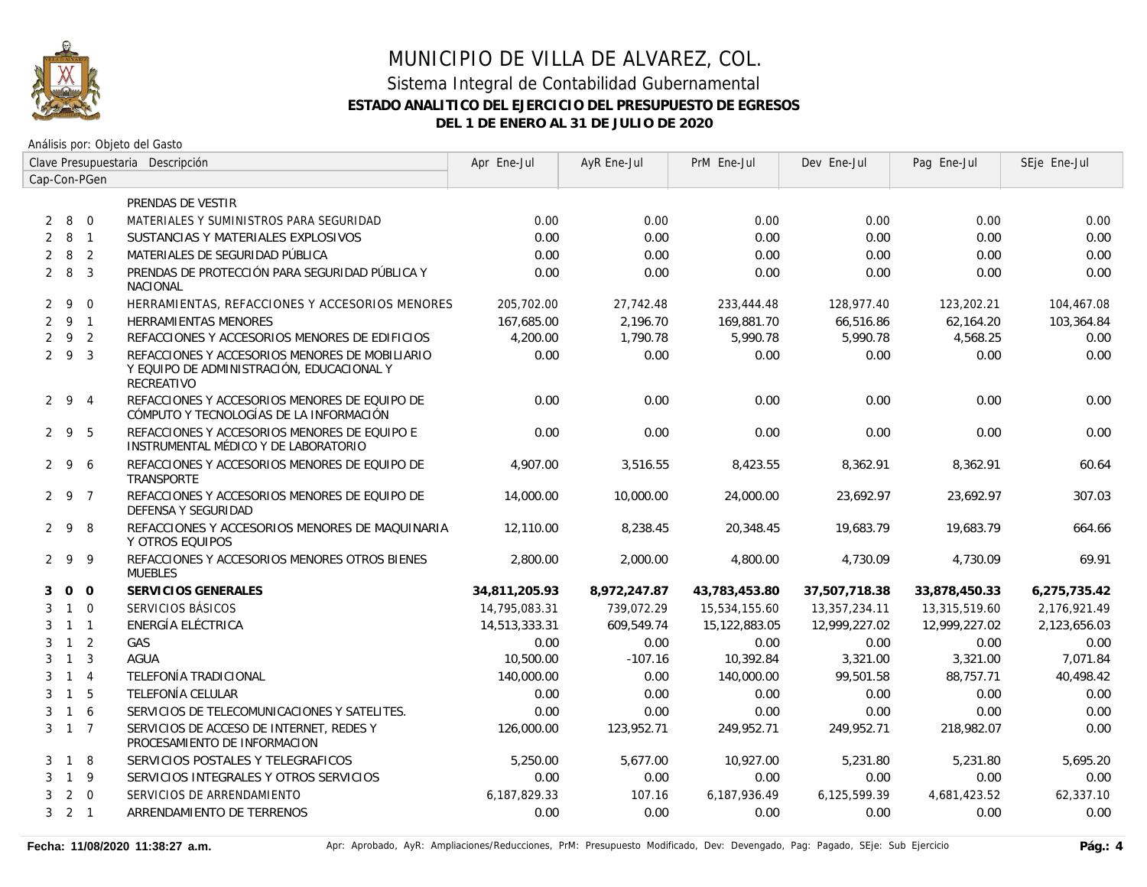

Análisis por: Objeto del Gasto

|                |                     |                | Clave Presupuestaria Descripción                                                                          | Apr Ene-Jul   | AyR Ene-Jul  | PrM Ene-Jul   | Dev Ene-Jul   | Pag Ene-Jul   | SEje Ene-Jul |
|----------------|---------------------|----------------|-----------------------------------------------------------------------------------------------------------|---------------|--------------|---------------|---------------|---------------|--------------|
|                |                     | Cap-Con-PGen   |                                                                                                           |               |              |               |               |               |              |
|                |                     |                | PRENDAS DE VESTIR                                                                                         |               |              |               |               |               |              |
| 2              | 8                   | $\overline{0}$ | MATERIALES Y SUMINISTROS PARA SEGURIDAD                                                                   | 0.00          | 0.00         | 0.00          | 0.00          | 0.00          | 0.00         |
| $\overline{2}$ | 8                   | $\overline{1}$ | SUSTANCIAS Y MATERIALES EXPLOSIVOS                                                                        | 0.00          | 0.00         | 0.00          | 0.00          | 0.00          | 0.00         |
| $\overline{2}$ | 8                   | $\overline{2}$ | MATERIALES DE SEGURIDAD PÚBLICA                                                                           | 0.00          | 0.00         | 0.00          | 0.00          | 0.00          | 0.00         |
|                | $2 \quad 8$         | $\overline{3}$ | PRENDAS DE PROTECCIÓN PARA SEGURIDAD PÚBLICA Y<br><b>NACIONAL</b>                                         | 0.00          | 0.00         | 0.00          | 0.00          | 0.00          | 0.00         |
|                | $2 \quad 9$         | $\mathbf 0$    | HERRAMIENTAS, REFACCIONES Y ACCESORIOS MENORES                                                            | 205,702.00    | 27,742.48    | 233,444.48    | 128,977.40    | 123,202.21    | 104,467.08   |
|                | $2 \quad 9 \quad 1$ |                | HERRAMIENTAS MENORES                                                                                      | 167,685.00    | 2,196.70     | 169,881.70    | 66,516.86     | 62,164.20     | 103,364.84   |
| $\overline{2}$ | 9 <sub>2</sub>      |                | REFACCIONES Y ACCESORIOS MENORES DE EDIFICIOS                                                             | 4,200.00      | 1,790.78     | 5,990.78      | 5,990.78      | 4,568.25      | 0.00         |
|                | 293                 |                | REFACCIONES Y ACCESORIOS MENORES DE MOBILIARIO<br>Y EQUIPO DE ADMINISTRACIÓN, EDUCACIONAL Y<br>RECREATIVO | 0.00          | 0.00         | 0.00          | 0.00          | 0.00          | 0.00         |
|                | 294                 |                | REFACCIONES Y ACCESORIOS MENORES DE EQUIPO DE<br>CÓMPUTO Y TECNOLOGÍAS DE LA INFORMACIÓN                  | 0.00          | 0.00         | 0.00          | 0.00          | 0.00          | 0.00         |
|                | 295                 |                | REFACCIONES Y ACCESORIOS MENORES DE EQUIPO E<br>INSTRUMENTAL MÉDICO Y DE LABORATORIO                      | 0.00          | 0.00         | 0.00          | 0.00          | 0.00          | 0.00         |
|                | $2 \quad 9 \quad 6$ |                | REFACCIONES Y ACCESORIOS MENORES DE EQUIPO DE<br>TRANSPORTE                                               | 4,907.00      | 3,516.55     | 8,423.55      | 8,362.91      | 8,362.91      | 60.64        |
|                | 297                 |                | REFACCIONES Y ACCESORIOS MENORES DE EQUIPO DE<br>DEFENSA Y SEGURIDAD                                      | 14,000.00     | 10,000.00    | 24,000.00     | 23,692.97     | 23,692.97     | 307.03       |
|                | $2 \quad 9$         | -8             | REFACCIONES Y ACCESORIOS MENORES DE MAQUINARIA<br>Y OTROS EQUIPOS                                         | 12,110.00     | 8,238.45     | 20,348.45     | 19,683.79     | 19,683.79     | 664.66       |
|                | 299                 |                | REFACCIONES Y ACCESORIOS MENORES OTROS BIENES<br><b>MUEBLES</b>                                           | 2,800.00      | 2,000.00     | 4,800.00      | 4.730.09      | 4,730.09      | 69.91        |
| 3              | 0 <sub>0</sub>      |                | SERVICIOS GENERALES                                                                                       | 34,811,205.93 | 8,972,247.87 | 43,783,453.80 | 37,507,718.38 | 33,878,450.33 | 6,275,735.42 |
| 3              | $1\quad 0$          |                | SERVICIOS BÁSICOS                                                                                         | 14,795,083.31 | 739.072.29   | 15,534,155.60 | 13,357,234.11 | 13,315,519.60 | 2,176,921.49 |
| 3              | $1 \quad 1$         |                | ENERGÍA ELÉCTRICA                                                                                         | 14,513,333.31 | 609.549.74   | 15,122,883.05 | 12,999,227.02 | 12,999,227.02 | 2,123,656.03 |
| 3              | $1\quad 2$          |                | GAS                                                                                                       | 0.00          | 0.00         | 0.00          | 0.00          | 0.00          | 0.00         |
| 3              | $\overline{1}$      | $\overline{3}$ | <b>AGUA</b>                                                                                               | 10,500.00     | $-107.16$    | 10,392.84     | 3,321.00      | 3,321.00      | 7,071.84     |
| 3              | $\overline{1}$      | $\overline{4}$ | TELEFONÍA TRADICIONAL                                                                                     | 140,000.00    | 0.00         | 140,000.00    | 99,501.58     | 88,757.71     | 40,498.42    |
| 3              | $\overline{1}$      | 5              | TELEFONÍA CELULAR                                                                                         | 0.00          | 0.00         | 0.00          | 0.00          | 0.00          | 0.00         |
| 3              | 1 6                 |                | SERVICIOS DE TELECOMUNICACIONES Y SATELITES.                                                              | 0.00          | 0.00         | 0.00          | 0.00          | 0.00          | 0.00         |
|                | $3 \quad 1 \quad 7$ |                | SERVICIOS DE ACCESO DE INTERNET, REDES Y<br>PROCESAMIENTO DE INFORMACION                                  | 126,000.00    | 123,952.71   | 249,952.71    | 249,952.71    | 218,982.07    | 0.00         |
| 3              | $\overline{1}$      | 8              | SERVICIOS POSTALES Y TELEGRAFICOS                                                                         | 5,250.00      | 5,677.00     | 10,927.00     | 5,231.80      | 5,231.80      | 5,695.20     |
| 3              | $1 \quad 9$         |                | SERVICIOS INTEGRALES Y OTROS SERVICIOS                                                                    | 0.00          | 0.00         | 0.00          | 0.00          | 0.00          | 0.00         |
| 3              | $\overline{2}$      | $\overline{0}$ | SERVICIOS DE ARRENDAMIENTO                                                                                | 6,187,829.33  | 107.16       | 6,187,936.49  | 6,125,599.39  | 4,681,423.52  | 62,337.10    |
|                | $3 \quad 2 \quad 1$ |                | ARRENDAMIENTO DE TERRENOS                                                                                 | 0.00          | 0.00         | 0.00          | 0.00          | 0.00          | 0.00         |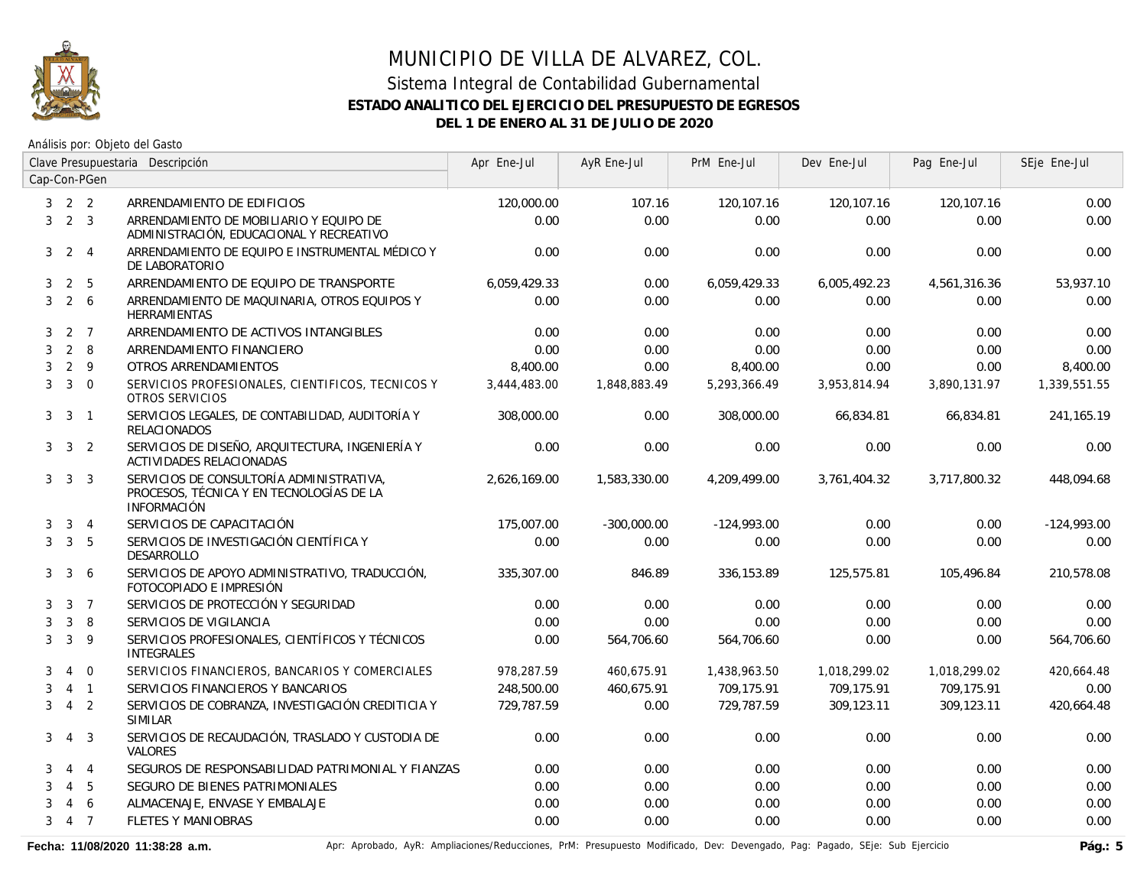

Análisis por: Objeto del Gasto

|   |                         |                | Clave Presupuestaria Descripción                                                                           | Apr Ene-Jul  | AyR Ene-Jul   | PrM Ene-Jul   | Dev Ene-Jul  | Pag Ene-Jul  | SEje Ene-Jul  |
|---|-------------------------|----------------|------------------------------------------------------------------------------------------------------------|--------------|---------------|---------------|--------------|--------------|---------------|
|   |                         | Cap-Con-PGen   |                                                                                                            |              |               |               |              |              |               |
|   | $3 \quad 2 \quad 2$     |                | ARRENDAMIENTO DE EDIFICIOS                                                                                 | 120,000.00   | 107.16        | 120,107.16    | 120,107.16   | 120,107.16   | 0.00          |
|   | $3 \quad 2 \quad 3$     |                | ARRENDAMIENTO DE MOBILIARIO Y EQUIPO DE<br>ADMINISTRACIÓN, EDUCACIONAL Y RECREATIVO                        | 0.00         | 0.00          | 0.00          | 0.00         | 0.00         | 0.00          |
| 3 |                         | $2 \quad 4$    | ARRENDAMIENTO DE EQUIPO E INSTRUMENTAL MÉDICO Y<br>DE LABORATORIO                                          | 0.00         | 0.00          | 0.00          | 0.00         | 0.00         | 0.00          |
| 3 | 2                       | 5              | ARRENDAMIENTO DE EQUIPO DE TRANSPORTE                                                                      | 6,059,429.33 | 0.00          | 6,059,429.33  | 6,005,492.23 | 4,561,316.36 | 53,937.10     |
| 3 |                         | 2 6            | ARRENDAMIENTO DE MAQUINARIA, OTROS EQUIPOS Y<br><b>HERRAMIENTAS</b>                                        | 0.00         | 0.00          | 0.00          | 0.00         | 0.00         | 0.00          |
| 3 |                         | 2 <sub>7</sub> | ARRENDAMIENTO DE ACTIVOS INTANGIBLES                                                                       | 0.00         | 0.00          | 0.00          | 0.00         | 0.00         | 0.00          |
| 3 | 2                       | 8              | ARRENDAMIENTO FINANCIERO                                                                                   | 0.00         | 0.00          | 0.00          | 0.00         | 0.00         | 0.00          |
| 3 |                         | $2 \quad 9$    | OTROS ARRENDAMIENTOS                                                                                       | 8,400.00     | 0.00          | 8,400.00      | 0.00         | 0.00         | 8,400.00      |
| 3 | $\overline{\mathbf{3}}$ | $\Omega$       | SERVICIOS PROFESIONALES, CIENTIFICOS, TECNICOS Y<br>OTROS SERVICIOS                                        | 3,444,483.00 | 1,848,883.49  | 5,293,366.49  | 3,953,814.94 | 3,890,131.97 | 1,339,551.55  |
| 3 | 3                       | $\overline{1}$ | SERVICIOS LEGALES, DE CONTABILIDAD, AUDITORÍA Y<br><b>RELACIONADOS</b>                                     | 308,000.00   | 0.00          | 308,000.00    | 66,834.81    | 66,834.81    | 241,165.19    |
|   | $3 \quad 3 \quad 2$     |                | SERVICIOS DE DISEÑO, ARQUITECTURA, INGENIERÍA Y<br>ACTIVIDADES RELACIONADAS                                | 0.00         | 0.00          | 0.00          | 0.00         | 0.00         | 0.00          |
| 3 | $\overline{3}$          | $\overline{3}$ | SERVICIOS DE CONSULTORÍA ADMINISTRATIVA,<br>PROCESOS, TÉCNICA Y EN TECNOLOGÍAS DE LA<br><b>INFORMACIÓN</b> | 2,626,169.00 | 1,583,330.00  | 4,209,499.00  | 3,761,404.32 | 3,717,800.32 | 448,094.68    |
| 3 |                         | $3 \quad 4$    | SERVICIOS DE CAPACITACIÓN                                                                                  | 175,007.00   | $-300,000.00$ | $-124,993.00$ | 0.00         | 0.00         | $-124,993.00$ |
| 3 |                         | 3 <sub>5</sub> | SERVICIOS DE INVESTIGACIÓN CIENTÍFICA Y<br>DESARROLLO                                                      | 0.00         | 0.00          | 0.00          | 0.00         | 0.00         | 0.00          |
| 3 | $\mathbf{3}$            | 6              | SERVICIOS DE APOYO ADMINISTRATIVO, TRADUCCIÓN,<br>FOTOCOPIADO E IMPRESIÓN                                  | 335,307.00   | 846.89        | 336,153.89    | 125,575.81   | 105,496.84   | 210,578.08    |
| 3 |                         | 3 <sub>7</sub> | SERVICIOS DE PROTECCIÓN Y SEGURIDAD                                                                        | 0.00         | 0.00          | 0.00          | 0.00         | 0.00         | 0.00          |
| 3 | 3                       | 8              | SERVICIOS DE VIGILANCIA                                                                                    | 0.00         | 0.00          | 0.00          | 0.00         | 0.00         | 0.00          |
| 3 | 3                       | -9             | SERVICIOS PROFESIONALES, CIENTÍFICOS Y TÉCNICOS<br><b>INTEGRALES</b>                                       | 0.00         | 564,706.60    | 564,706.60    | 0.00         | 0.00         | 564,706.60    |
| 3 | 4                       | $\overline{0}$ | SERVICIOS FINANCIEROS, BANCARIOS Y COMERCIALES                                                             | 978,287.59   | 460,675.91    | 1,438,963.50  | 1,018,299.02 | 1,018,299.02 | 420,664.48    |
| 3 |                         | $4 \quad 1$    | SERVICIOS FINANCIEROS Y BANCARIOS                                                                          | 248,500.00   | 460,675.91    | 709,175.91    | 709.175.91   | 709.175.91   | 0.00          |
| 3 | $\overline{4}$          | $\overline{2}$ | SERVICIOS DE COBRANZA, INVESTIGACIÓN CREDITICIA Y<br><b>SIMILAR</b>                                        | 729,787.59   | 0.00          | 729,787.59    | 309,123.11   | 309,123.11   | 420,664.48    |
| 3 | 4                       | $\overline{3}$ | SERVICIOS DE RECAUDACIÓN, TRASLADO Y CUSTODIA DE<br><b>VALORES</b>                                         | 0.00         | 0.00          | 0.00          | 0.00         | 0.00         | 0.00          |
| 3 |                         | $4\quad 4$     | SEGUROS DE RESPONSABILIDAD PATRIMONIAL Y FIANZAS                                                           | 0.00         | 0.00          | 0.00          | 0.00         | 0.00         | 0.00          |
| 3 | $\overline{4}$          | 5              | SEGURO DE BIENES PATRIMONIALES                                                                             | 0.00         | 0.00          | 0.00          | 0.00         | 0.00         | 0.00          |
| 3 | $\overline{4}$          | 6              | ALMACENAJE, ENVASE Y EMBALAJE                                                                              | 0.00         | 0.00          | 0.00          | 0.00         | 0.00         | 0.00          |
| 3 |                         | 4 7            | <b>FLETES Y MANIOBRAS</b>                                                                                  | 0.00         | 0.00          | 0.00          | 0.00         | 0.00         | 0.00          |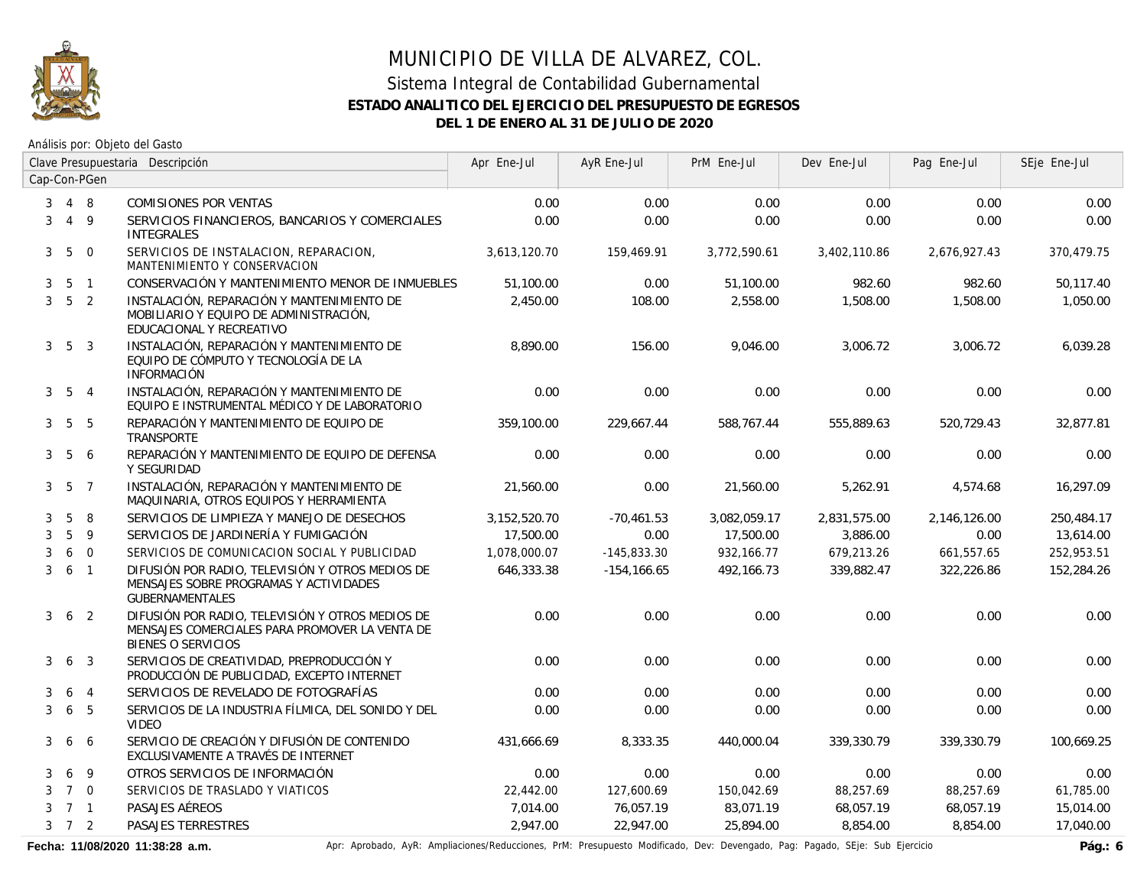

Análisis por: Objeto del Gasto

|                |                     |                | Clave Presupuestaria Descripción                                                                                                | Apr Ene-Jul  | AyR Ene-Jul    | PrM Ene-Jul  | Dev Ene-Jul  | Pag Ene-Jul  | SEje Ene-Jul |
|----------------|---------------------|----------------|---------------------------------------------------------------------------------------------------------------------------------|--------------|----------------|--------------|--------------|--------------|--------------|
|                |                     | Cap-Con-PGen   |                                                                                                                                 |              |                |              |              |              |              |
| 3              |                     | 4 8            | <b>COMISIONES POR VENTAS</b>                                                                                                    | 0.00         | 0.00           | 0.00         | 0.00         | 0.00         | 0.00         |
| 3              |                     | 4 9            | SERVICIOS FINANCIEROS, BANCARIOS Y COMERCIALES<br><b>INTEGRALES</b>                                                             | 0.00         | 0.00           | 0.00         | 0.00         | 0.00         | 0.00         |
| 3              | 5                   | $\mathbf 0$    | SERVICIOS DE INSTALACION, REPARACION,<br>MANTENIMIENTO Y CONSERVACION                                                           | 3.613.120.70 | 159,469.91     | 3,772,590.61 | 3,402,110.86 | 2,676,927.43 | 370.479.75   |
| 3              |                     | 5 <sub>1</sub> | CONSERVACIÓN Y MANTENIMIENTO MENOR DE INMUEBLES                                                                                 | 51,100.00    | 0.00           | 51,100.00    | 982.60       | 982.60       | 50,117.40    |
| 3              |                     | 5 <sub>2</sub> | INSTALACIÓN, REPARACIÓN Y MANTENIMIENTO DE<br>MOBILIARIO Y EQUIPO DE ADMINISTRACIÓN,<br>EDUCACIONAL Y RECREATIVO                | 2,450.00     | 108.00         | 2,558.00     | 1,508.00     | 1,508.00     | 1,050.00     |
| 3              |                     | 5 <sup>3</sup> | INSTALACIÓN, REPARACIÓN Y MANTENIMIENTO DE<br>EQUIPO DE CÓMPUTO Y TECNOLOGÍA DE LA<br><b>INFORMACIÓN</b>                        | 8,890.00     | 156.00         | 9,046.00     | 3,006.72     | 3,006.72     | 6,039.28     |
| 3 <sup>1</sup> |                     | 5 4            | INSTALACIÓN, REPARACIÓN Y MANTENIMIENTO DE<br>EQUIPO E INSTRUMENTAL MÉDICO Y DE LABORATORIO                                     | 0.00         | 0.00           | 0.00         | 0.00         | 0.00         | 0.00         |
| 3 <sup>1</sup> |                     | 5 5            | REPARACIÓN Y MANTENIMIENTO DE EQUIPO DE<br><b>TRANSPORTE</b>                                                                    | 359,100.00   | 229,667.44     | 588,767.44   | 555,889.63   | 520,729.43   | 32,877.81    |
|                | $3\quad 5\quad 6$   |                | REPARACIÓN Y MANTENIMIENTO DE EQUIPO DE DEFENSA<br>Y SEGURIDAD                                                                  | 0.00         | 0.00           | 0.00         | 0.00         | 0.00         | 0.00         |
|                | $3\quad 5\quad 7$   |                | INSTALACIÓN, REPARACIÓN Y MANTENIMIENTO DE<br>MAQUINARIA, OTROS EQUIPOS Y HERRAMIENTA                                           | 21,560.00    | 0.00           | 21,560.00    | 5,262.91     | 4,574.68     | 16,297.09    |
| 3              | 5                   | 8              | SERVICIOS DE LIMPIEZA Y MANEJO DE DESECHOS                                                                                      | 3,152,520.70 | $-70,461.53$   | 3,082,059.17 | 2,831,575.00 | 2,146,126.00 | 250,484.17   |
| 3              | 5                   | 9              | SERVICIOS DE JARDINERÍA Y FUMIGACIÓN                                                                                            | 17,500.00    | 0.00           | 17,500.00    | 3,886.00     | 0.00         | 13,614.00    |
| 3              |                     | 6 0            | SERVICIOS DE COMUNICACION SOCIAL Y PUBLICIDAD                                                                                   | 1,078,000.07 | $-145,833.30$  | 932,166.77   | 679,213.26   | 661,557.65   | 252,953.51   |
| 3              | $6-1$               |                | DIFUSIÓN POR RADIO, TELEVISIÓN Y OTROS MEDIOS DE<br>MENSAJES SOBRE PROGRAMAS Y ACTIVIDADES<br><b>GUBERNAMENTALES</b>            | 646,333.38   | $-154, 166.65$ | 492,166.73   | 339,882.47   | 322,226.86   | 152,284.26   |
| 3              |                     | 6 <sub>2</sub> | DIFUSIÓN POR RADIO, TELEVISIÓN Y OTROS MEDIOS DE<br>MENSAJES COMERCIALES PARA PROMOVER LA VENTA DE<br><b>BIENES O SERVICIOS</b> | 0.00         | 0.00           | 0.00         | 0.00         | 0.00         | 0.00         |
| 3              | 6                   | $\overline{3}$ | SERVICIOS DE CREATIVIDAD, PREPRODUCCIÓN Y<br>PRODUCCIÓN DE PUBLICIDAD, EXCEPTO INTERNET                                         | 0.00         | 0.00           | 0.00         | 0.00         | 0.00         | 0.00         |
| 3              | 6                   | $\overline{4}$ | SERVICIOS DE REVELADO DE FOTOGRAFÍAS                                                                                            | 0.00         | 0.00           | 0.00         | 0.00         | 0.00         | 0.00         |
| 3              | 6                   | 5              | SERVICIOS DE LA INDUSTRIA FÍLMICA, DEL SONIDO Y DEL<br><b>VIDEO</b>                                                             | 0.00         | 0.00           | 0.00         | 0.00         | 0.00         | 0.00         |
| 3              |                     | 6 6            | SERVICIO DE CREACIÓN Y DIFUSIÓN DE CONTENIDO<br>EXCLUSIVAMENTE A TRAVÉS DE INTERNET                                             | 431,666.69   | 8,333.35       | 440,000.04   | 339,330.79   | 339,330.79   | 100,669.25   |
| 3              | 6                   | 9              | OTROS SERVICIOS DE INFORMACIÓN                                                                                                  | 0.00         | 0.00           | 0.00         | 0.00         | 0.00         | 0.00         |
| 3              | $7\quad$ 0          |                | SERVICIOS DE TRASLADO Y VIATICOS                                                                                                | 22,442.00    | 127,600.69     | 150,042.69   | 88,257.69    | 88,257.69    | 61,785.00    |
| 3              |                     | 7 1            | PASAJES AÉREOS                                                                                                                  | 7,014.00     | 76,057.19      | 83,071.19    | 68,057.19    | 68,057.19    | 15,014.00    |
|                | $3 \quad 7 \quad 2$ |                | PASAJES TERRESTRES                                                                                                              | 2,947.00     | 22,947.00      | 25,894.00    | 8,854.00     | 8,854.00     | 17,040.00    |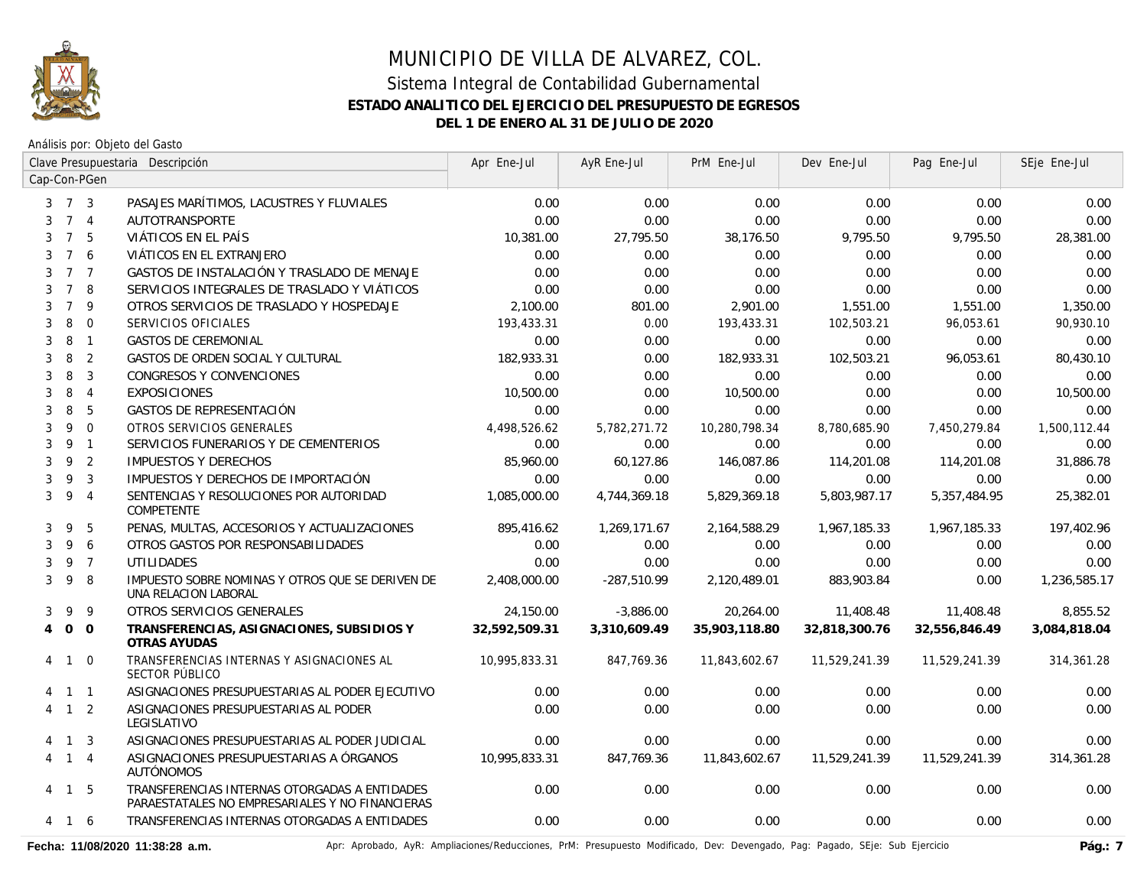

Análisis por: Objeto del Gasto

|                     |                 |                | Clave Presupuestaria Descripción                                                                 | Apr Ene-Jul   | AyR Ene-Jul   | PrM Ene-Jul   | Dev Ene-Jul   | Pag Ene-Jul   | SEje Ene-Jul |
|---------------------|-----------------|----------------|--------------------------------------------------------------------------------------------------|---------------|---------------|---------------|---------------|---------------|--------------|
| Cap-Con-PGen        |                 |                |                                                                                                  |               |               |               |               |               |              |
| $3 \quad 7 \quad 3$ |                 |                | PASAJES MARÍTIMOS, LACUSTRES Y FLUVIALES                                                         | 0.00          | 0.00          | 0.00          | 0.00          | 0.00          | 0.00         |
|                     |                 | 7 <sub>4</sub> | <b>AUTOTRANSPORTE</b>                                                                            | 0.00          | 0.00          | 0.00          | 0.00          | 0.00          | 0.00         |
| 3                   | $\overline{7}$  | -5             | VIÁTICOS EN EL PAÍS                                                                              | 10,381.00     | 27,795.50     | 38,176.50     | 9,795.50      | 9,795.50      | 28,381.00    |
| 3                   | $\overline{7}$  | 6              | VIÁTICOS EN EL EXTRANJERO                                                                        | 0.00          | 0.00          | 0.00          | 0.00          | 0.00          | 0.00         |
| 3                   | $7\overline{ }$ | $\overline{7}$ | GASTOS DE INSTALACIÓN Y TRASLADO DE MENAJE                                                       | 0.00          | 0.00          | 0.00          | 0.00          | 0.00          | 0.00         |
| 3                   | $7^{\circ}$     | 8              | SERVICIOS INTEGRALES DE TRASLADO Y VIÁTICOS                                                      | 0.00          | 0.00          | 0.00          | 0.00          | 0.00          | 0.00         |
| 3                   | $\overline{7}$  | 9              | OTROS SERVICIOS DE TRASLADO Y HOSPEDAJE                                                          | 2,100.00      | 801.00        | 2,901.00      | 1,551.00      | 1,551.00      | 1,350.00     |
| 3                   | 8               | $\mathbf 0$    | SERVICIOS OFICIALES                                                                              | 193,433.31    | 0.00          | 193,433.31    | 102,503.21    | 96,053.61     | 90,930.10    |
| 3                   | 8               | $\overline{1}$ | <b>GASTOS DE CEREMONIAL</b>                                                                      | 0.00          | 0.00          | 0.00          | 0.00          | 0.00          | 0.00         |
| 3                   | 8               | $\overline{2}$ | GASTOS DE ORDEN SOCIAL Y CULTURAL                                                                | 182,933.31    | 0.00          | 182,933.31    | 102,503.21    | 96,053.61     | 80,430.10    |
| 3                   | 8               | $\overline{3}$ | CONGRESOS Y CONVENCIONES                                                                         | 0.00          | 0.00          | 0.00          | 0.00          | 0.00          | 0.00         |
| 3                   | 8               | $\overline{4}$ | <b>EXPOSICIONES</b>                                                                              | 10,500.00     | 0.00          | 10,500.00     | 0.00          | 0.00          | 10,500.00    |
| 3                   | 8               | 5              | <b>GASTOS DE REPRESENTACIÓN</b>                                                                  | 0.00          | 0.00          | 0.00          | 0.00          | 0.00          | 0.00         |
| 3                   | 9               | $\mathbf{0}$   | OTROS SERVICIOS GENERALES                                                                        | 4,498,526.62  | 5,782,271.72  | 10,280,798.34 | 8,780,685.90  | 7,450,279.84  | 1,500,112.44 |
| 3                   | 9 <sub>1</sub>  |                | SERVICIOS FUNERARIOS Y DE CEMENTERIOS                                                            | 0.00          | 0.00          | 0.00          | 0.00          | 0.00          | 0.00         |
| 3                   | 9               | $\overline{2}$ | <b>IMPUESTOS Y DERECHOS</b>                                                                      | 85,960.00     | 60,127.86     | 146,087.86    | 114,201.08    | 114,201.08    | 31,886.78    |
| 3                   | 9               | $\overline{3}$ | IMPUESTOS Y DERECHOS DE IMPORTACIÓN                                                              | 0.00          | 0.00          | 0.00          | 0.00          | 0.00          | 0.00         |
| 3                   | 9               | $\overline{4}$ | SENTENCIAS Y RESOLUCIONES POR AUTORIDAD<br><b>COMPETENTE</b>                                     | 1,085,000.00  | 4,744,369.18  | 5,829,369.18  | 5,803,987.17  | 5,357,484.95  | 25,382.01    |
| 3                   | 9               | 5              | PENAS, MULTAS, ACCESORIOS Y ACTUALIZACIONES                                                      | 895,416.62    | 1,269,171.67  | 2,164,588.29  | 1.967.185.33  | 1,967,185.33  | 197,402.96   |
| 3                   | 9               | 6              | OTROS GASTOS POR RESPONSABILIDADES                                                               | 0.00          | 0.00          | 0.00          | 0.00          | 0.00          | 0.00         |
| 3                   |                 | 9 7            | <b>UTILIDADES</b>                                                                                | 0.00          | 0.00          | 0.00          | 0.00          | 0.00          | 0.00         |
| 3                   | 9               | -8             | IMPUESTO SOBRE NOMINAS Y OTROS QUE SE DERIVEN DE<br>UNA RELACION LABORAL                         | 2,408,000.00  | $-287,510.99$ | 2,120,489.01  | 883,903.84    | 0.00          | 1,236,585.17 |
| 3                   | 9               | 9              | OTROS SERVICIOS GENERALES                                                                        | 24,150.00     | $-3,886.00$   | 20,264.00     | 11,408.48     | 11,408.48     | 8,855.52     |
| $\overline{4}$      | $0\quad 0$      |                | TRANSFERENCIAS, ASIGNACIONES, SUBSIDIOS Y<br>OTRAS AYUDAS                                        | 32,592,509.31 | 3,310,609.49  | 35,903,118.80 | 32,818,300.76 | 32,556,846.49 | 3,084,818.04 |
| 4 1                 |                 | $\Omega$       | TRANSFERENCIAS INTERNAS Y ASIGNACIONES AL<br>SECTOR PÚBLICO                                      | 10,995,833.31 | 847,769.36    | 11,843,602.67 | 11,529,241.39 | 11,529,241.39 | 314,361.28   |
| 4 1 1               |                 |                | ASIGNACIONES PRESUPUESTARIAS AL PODER EJECUTIVO                                                  | 0.00          | 0.00          | 0.00          | 0.00          | 0.00          | 0.00         |
| 4                   |                 | $1\quad2$      | ASIGNACIONES PRESUPUESTARIAS AL PODER<br>LEGISLATIVO                                             | 0.00          | 0.00          | 0.00          | 0.00          | 0.00          | 0.00         |
| 4                   |                 | $1 \quad 3$    | ASIGNACIONES PRESUPUESTARIAS AL PODER JUDICIAL                                                   | 0.00          | 0.00          | 0.00          | 0.00          | 0.00          | 0.00         |
| 4 1 4               |                 |                | ASIGNACIONES PRESUPUESTARIAS A ÓRGANOS<br><b>AUTÓNOMOS</b>                                       | 10,995,833.31 | 847,769.36    | 11,843,602.67 | 11,529,241.39 | 11,529,241.39 | 314,361.28   |
| 4                   | $1\quad 5$      |                | TRANSFERENCIAS INTERNAS OTORGADAS A ENTIDADES<br>PARAESTATALES NO EMPRESARIALES Y NO FINANCIERAS | 0.00          | 0.00          | 0.00          | 0.00          | 0.00          | 0.00         |
| 4                   | $\overline{1}$  | -6             | TRANSFERENCIAS INTERNAS OTORGADAS A ENTIDADES                                                    | 0.00          | 0.00          | 0.00          | 0.00          | 0.00          | 0.00         |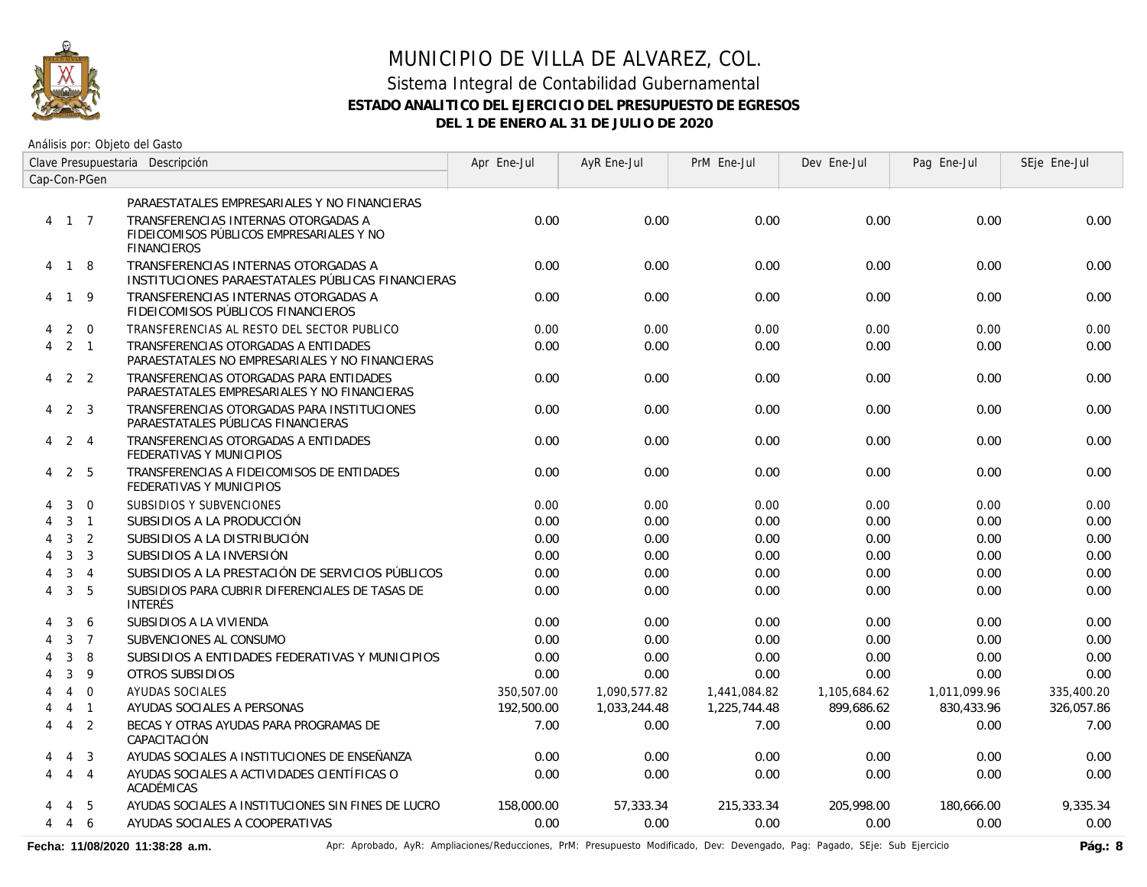

Análisis por: Objeto del Gasto

|                | Clave Presupuestaria Descripción |                |                                                                                                       | Apr Ene-Jul | AyR Ene-Jul  | PrM Ene-Jul  | Dev Ene-Jul  | Pag Ene-Jul  | SEje Ene-Jul |
|----------------|----------------------------------|----------------|-------------------------------------------------------------------------------------------------------|-------------|--------------|--------------|--------------|--------------|--------------|
| Cap-Con-PGen   |                                  |                |                                                                                                       |             |              |              |              |              |              |
|                |                                  |                | PARAESTATALES EMPRESARIALES Y NO FINANCIERAS                                                          |             |              |              |              |              |              |
| 4 1 7          |                                  |                | TRANSFERENCIAS INTERNAS OTORGADAS A<br>FIDEICOMISOS PÚBLICOS EMPRESARIALES Y NO<br><b>FINANCIEROS</b> | 0.00        | 0.00         | 0.00         | 0.00         | 0.00         | 0.00         |
| 4 1 8          |                                  |                | TRANSFERENCIAS INTERNAS OTORGADAS A<br>INSTITUCIONES PARAESTATALES PÚBLICAS FINANCIERAS               | 0.00        | 0.00         | 0.00         | 0.00         | 0.00         | 0.00         |
| 4              | $\mathbf{1}$                     | -9             | TRANSFERENCIAS INTERNAS OTORGADAS A<br>FIDEICOMISOS PÚBLICOS FINANCIEROS                              | 0.00        | 0.00         | 0.00         | 0.00         | 0.00         | 0.00         |
| 4              | 2                                | $\overline{0}$ | TRANSFERENCIAS AL RESTO DEL SECTOR PUBLICO                                                            | 0.00        | 0.00         | 0.00         | 0.00         | 0.00         | 0.00         |
| 4              | $2 \quad 1$                      |                | TRANSFERENCIAS OTORGADAS A ENTIDADES<br>PARAESTATALES NO EMPRESARIALES Y NO FINANCIERAS               | 0.00        | 0.00         | 0.00         | 0.00         | 0.00         | 0.00         |
| $\overline{4}$ | 2 <sub>2</sub>                   |                | TRANSFERENCIAS OTORGADAS PARA ENTIDADES<br>PARAESTATALES EMPRESARIALES Y NO FINANCIERAS               | 0.00        | 0.00         | 0.00         | 0.00         | 0.00         | 0.00         |
| 4              | 2 <sub>3</sub>                   |                | TRANSFERENCIAS OTORGADAS PARA INSTITUCIONES<br>PARAESTATALES PÚBLICAS FINANCIERAS                     | 0.00        | 0.00         | 0.00         | 0.00         | 0.00         | 0.00         |
| 4              | 2                                | $\overline{4}$ | TRANSFERENCIAS OTORGADAS A ENTIDADES<br>FEDERATIVAS Y MUNICIPIOS                                      | 0.00        | 0.00         | 0.00         | 0.00         | 0.00         | 0.00         |
| 4              | 2 5                              |                | TRANSFERENCIAS A FIDEICOMISOS DE ENTIDADES<br>FEDERATIVAS Y MUNICIPIOS                                | 0.00        | 0.00         | 0.00         | 0.00         | 0.00         | 0.00         |
|                | 3                                | $\overline{0}$ | SUBSIDIOS Y SUBVENCIONES                                                                              | 0.00        | 0.00         | 0.00         | 0.00         | 0.00         | 0.00         |
|                | 3                                | $\overline{1}$ | SUBSIDIOS A LA PRODUCCIÓN                                                                             | 0.00        | 0.00         | 0.00         | 0.00         | 0.00         | 0.00         |
| 4              | 3                                | 2              | SUBSIDIOS A LA DISTRIBUCIÓN                                                                           | 0.00        | 0.00         | 0.00         | 0.00         | 0.00         | 0.00         |
| 4              | 3                                | $\overline{3}$ | SUBSIDIOS A LA INVERSIÓN                                                                              | 0.00        | 0.00         | 0.00         | 0.00         | 0.00         | 0.00         |
|                | 3                                | $\overline{4}$ | SUBSIDIOS A LA PRESTACIÓN DE SERVICIOS PÚBLICOS                                                       | 0.00        | 0.00         | 0.00         | 0.00         | 0.00         | 0.00         |
| 4              | 3                                | 5              | SUBSIDIOS PARA CUBRIR DIFERENCIALES DE TASAS DE<br><b>INTERÉS</b>                                     | 0.00        | 0.00         | 0.00         | 0.00         | 0.00         | 0.00         |
| 4              | 3                                | 6              | SUBSIDIOS A LA VIVIENDA                                                                               | 0.00        | 0.00         | 0.00         | 0.00         | 0.00         | 0.00         |
|                | 3                                | $\overline{7}$ | SUBVENCIONES AL CONSUMO                                                                               | 0.00        | 0.00         | 0.00         | 0.00         | 0.00         | 0.00         |
|                | 3                                | 8              | SUBSIDIOS A ENTIDADES FEDERATIVAS Y MUNICIPIOS                                                        | 0.00        | 0.00         | 0.00         | 0.00         | 0.00         | 0.00         |
|                | 3                                | 9              | OTROS SUBSIDIOS                                                                                       | 0.00        | 0.00         | 0.00         | 0.00         | 0.00         | 0.00         |
|                | $\overline{4}$                   | $\Omega$       | <b>AYUDAS SOCIALES</b>                                                                                | 350,507.00  | 1,090,577.82 | 1,441,084.82 | 1,105,684.62 | 1,011,099.96 | 335,400.20   |
|                | $\overline{4}$                   | $\overline{1}$ | AYUDAS SOCIALES A PERSONAS                                                                            | 192,500.00  | 1,033,244.48 | 1,225,744.48 | 899,686.62   | 830,433.96   | 326,057.86   |
| 4              | $\overline{4}$                   | $\overline{2}$ | BECAS Y OTRAS AYUDAS PARA PROGRAMAS DE<br>CAPACITACIÓN                                                | 7.00        | 0.00         | 7.00         | 0.00         | 0.00         | 7.00         |
| 4              | $\overline{4}$                   | $\mathbf{3}$   | AYUDAS SOCIALES A INSTITUCIONES DE ENSEÑANZA                                                          | 0.00        | 0.00         | 0.00         | 0.00         | 0.00         | 0.00         |
| 4              | $\overline{4}$                   | $\overline{4}$ | AYUDAS SOCIALES A ACTIVIDADES CIENTÍFICAS O<br>ACADÉMICAS                                             | 0.00        | 0.00         | 0.00         | 0.00         | 0.00         | 0.00         |
|                | 4                                | -5             | AYUDAS SOCIALES A INSTITUCIONES SIN FINES DE LUCRO                                                    | 158,000.00  | 57,333.34    | 215,333.34   | 205,998.00   | 180.666.00   | 9.335.34     |
| 4              | 4                                | 6              | AYUDAS SOCIALES A COOPERATIVAS                                                                        | 0.00        | 0.00         | 0.00         | 0.00         | 0.00         | 0.00         |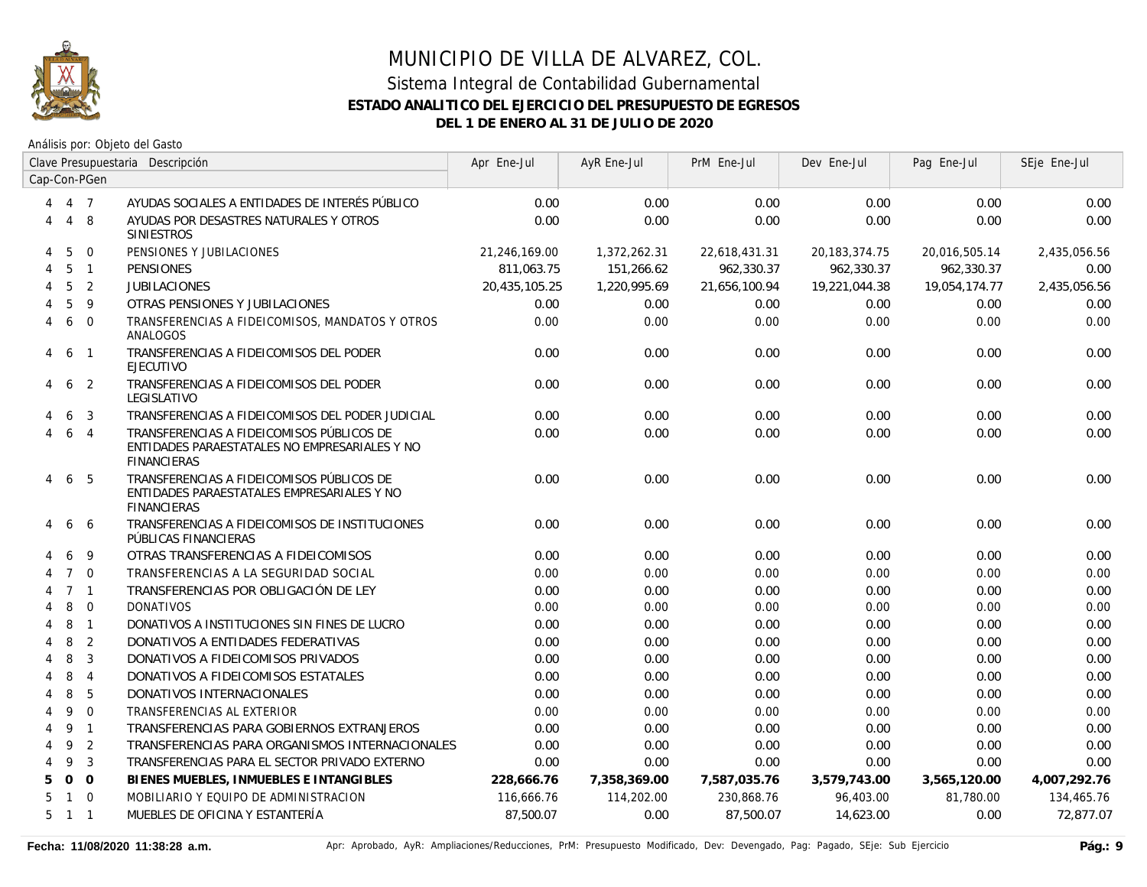

|   |                | Clave Presupuestaria Descripción |                                                                                                                  | Apr Ene-Jul   | AyR Ene-Jul  | PrM Ene-Jul   | Dev Ene-Jul      | Pag Ene-Jul   | SEje Ene-Jul |
|---|----------------|----------------------------------|------------------------------------------------------------------------------------------------------------------|---------------|--------------|---------------|------------------|---------------|--------------|
|   |                | Cap-Con-PGen                     |                                                                                                                  |               |              |               |                  |               |              |
| 4 |                | 4 7                              | AYUDAS SOCIALES A ENTIDADES DE INTERÉS PÚBLICO                                                                   | 0.00          | 0.00         | 0.00          | 0.00             | 0.00          | 0.00         |
| 4 | $\overline{4}$ | -8                               | AYUDAS POR DESASTRES NATURALES Y OTROS<br><b>SINIESTROS</b>                                                      | 0.00          | 0.00         | 0.00          | 0.00             | 0.00          | 0.00         |
| 4 | 5              | $\mathbf 0$                      | PENSIONES Y JUBILACIONES                                                                                         | 21,246,169.00 | 1,372,262.31 | 22,618,431.31 | 20, 183, 374. 75 | 20,016,505.14 | 2,435,056.56 |
| 4 | 5              | $\overline{1}$                   | <b>PENSIONES</b>                                                                                                 | 811,063.75    | 151,266.62   | 962,330.37    | 962,330.37       | 962,330.37    | 0.00         |
| 4 | 5              | 2                                | <b>JUBILACIONES</b>                                                                                              | 20,435,105.25 | 1,220,995.69 | 21,656,100.94 | 19,221,044.38    | 19,054,174.77 | 2,435,056.56 |
|   | 5              | 9                                | OTRAS PENSIONES Y JUBILACIONES                                                                                   | 0.00          | 0.00         | 0.00          | 0.00             | 0.00          | 0.00         |
| 4 | 6              | $\Omega$                         | TRANSFERENCIAS A FIDEICOMISOS, MANDATOS Y OTROS<br>ANALOGOS                                                      | 0.00          | 0.00         | 0.00          | 0.00             | 0.00          | 0.00         |
| 4 | 6              | $\overline{1}$                   | TRANSFERENCIAS A FIDEICOMISOS DEL PODER<br><b>EJECUTIVO</b>                                                      | 0.00          | 0.00         | 0.00          | 0.00             | 0.00          | 0.00         |
| 4 | 6              | $\overline{2}$                   | TRANSFERENCIAS A FIDEICOMISOS DEL PODER<br>LEGISLATIVO                                                           | 0.00          | 0.00         | 0.00          | 0.00             | 0.00          | 0.00         |
|   | 6              | 3                                | TRANSFERENCIAS A FIDEICOMISOS DEL PODER JUDICIAL                                                                 | 0.00          | 0.00         | 0.00          | 0.00             | 0.00          | 0.00         |
|   | 6              | $\overline{4}$                   | TRANSFERENCIAS A FIDEICOMISOS PÚBLICOS DE<br>ENTIDADES PARAESTATALES NO EMPRESARIALES Y NO<br><b>FINANCIERAS</b> | 0.00          | 0.00         | 0.00          | 0.00             | 0.00          | 0.00         |
| 4 | 6              | 5                                | TRANSFERENCIAS A FIDEICOMISOS PÚBLICOS DE<br>ENTIDADES PARAESTATALES EMPRESARIALES Y NO<br><b>FINANCIERAS</b>    | 0.00          | 0.00         | 0.00          | 0.00             | 0.00          | 0.00         |
| 4 | 6              | -6                               | TRANSFERENCIAS A FIDEICOMISOS DE INSTITUCIONES<br>PÚBLICAS FINANCIERAS                                           | 0.00          | 0.00         | 0.00          | 0.00             | 0.00          | 0.00         |
|   | 6              | 9                                | OTRAS TRANSFERENCIAS A FIDEICOMISOS                                                                              | 0.00          | 0.00         | 0.00          | 0.00             | 0.00          | 0.00         |
| 4 | $7^{\circ}$    | $\overline{0}$                   | TRANSFERENCIAS A LA SEGURIDAD SOCIAL                                                                             | 0.00          | 0.00         | 0.00          | 0.00             | 0.00          | 0.00         |
|   |                | 7 <sub>1</sub>                   | TRANSFERENCIAS POR OBLIGACIÓN DE LEY                                                                             | 0.00          | 0.00         | 0.00          | 0.00             | 0.00          | 0.00         |
|   | 8              | $\overline{0}$                   | <b>DONATIVOS</b>                                                                                                 | 0.00          | 0.00         | 0.00          | 0.00             | 0.00          | 0.00         |
|   | 8              | $\overline{1}$                   | DONATIVOS A INSTITUCIONES SIN FINES DE LUCRO                                                                     | 0.00          | 0.00         | 0.00          | 0.00             | 0.00          | 0.00         |
|   | 8              | $\overline{2}$                   | DONATIVOS A ENTIDADES FEDERATIVAS                                                                                | 0.00          | 0.00         | 0.00          | 0.00             | 0.00          | 0.00         |
|   | 8              | 3                                | DONATIVOS A FIDEICOMISOS PRIVADOS                                                                                | 0.00          | 0.00         | 0.00          | 0.00             | 0.00          | 0.00         |
| 4 | 8              | $\overline{4}$                   | DONATIVOS A FIDEICOMISOS ESTATALES                                                                               | 0.00          | 0.00         | 0.00          | 0.00             | 0.00          | 0.00         |
| 4 | 8              | 5                                | DONATIVOS INTERNACIONALES                                                                                        | 0.00          | 0.00         | 0.00          | 0.00             | 0.00          | 0.00         |
| 4 | 9              | $\overline{0}$                   | TRANSFERENCIAS AL EXTERIOR                                                                                       | 0.00          | 0.00         | 0.00          | 0.00             | 0.00          | 0.00         |
| 4 | 9              | $\overline{1}$                   | TRANSFERENCIAS PARA GOBIERNOS EXTRANJEROS                                                                        | 0.00          | 0.00         | 0.00          | 0.00             | 0.00          | 0.00         |
| 4 | 9              | $\overline{2}$                   | TRANSFERENCIAS PARA ORGANISMOS INTERNACIONALES                                                                   | 0.00          | 0.00         | 0.00          | 0.00             | 0.00          | 0.00         |
| Δ | 9              | $\overline{3}$                   | TRANSFERENCIAS PARA EL SECTOR PRIVADO EXTERNO                                                                    | 0.00          | 0.00         | 0.00          | 0.00             | 0.00          | 0.00         |
| 5 | $\overline{O}$ | $\Omega$                         | BIENES MUEBLES, INMUEBLES E INTANGIBLES                                                                          | 228,666.76    | 7,358,369.00 | 7,587,035.76  | 3,579,743.00     | 3,565,120.00  | 4,007,292.76 |
| 5 |                | $1 \quad 0$                      | MOBILIARIO Y EQUIPO DE ADMINISTRACION                                                                            | 116,666.76    | 114,202.00   | 230,868.76    | 96,403.00        | 81,780.00     | 134,465.76   |
| 5 | 1 1            |                                  | MUEBLES DE OFICINA Y ESTANTERÍA                                                                                  | 87,500.07     | 0.00         | 87,500.07     | 14,623.00        | 0.00          | 72.877.07    |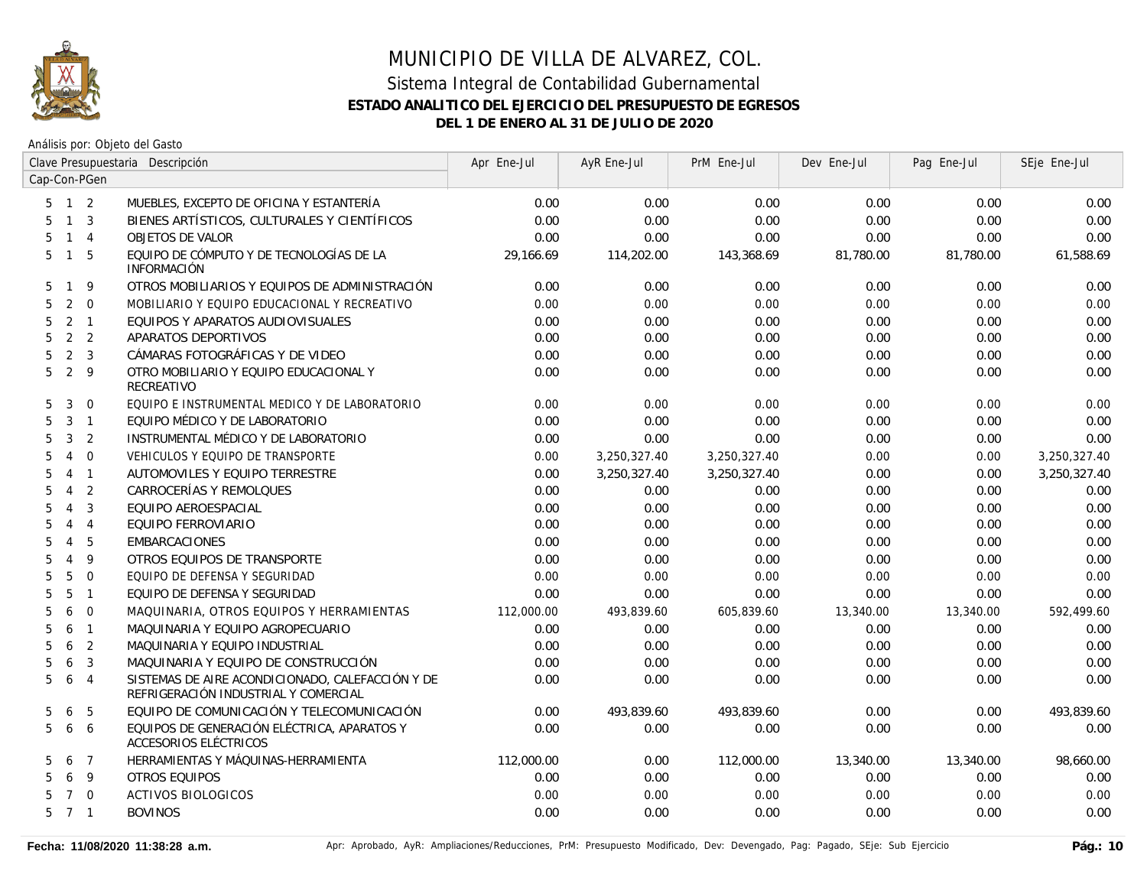

|    |                     | Clave Presupuestaria Descripción |                                                                                          | Apr Ene-Jul | AyR Ene-Jul  | PrM Ene-Jul  | Dev Ene-Jul | Pag Ene-Jul | SEje Ene-Jul |
|----|---------------------|----------------------------------|------------------------------------------------------------------------------------------|-------------|--------------|--------------|-------------|-------------|--------------|
|    |                     | Cap-Con-PGen                     |                                                                                          |             |              |              |             |             |              |
|    | $5 \quad 1 \quad 2$ |                                  | MUEBLES, EXCEPTO DE OFICINA Y ESTANTERÍA                                                 | 0.00        | 0.00         | 0.00         | 0.00        | 0.00        | 0.00         |
| 5. | 1 <sup>3</sup>      |                                  | BIENES ARTÍSTICOS, CULTURALES Y CIENTÍFICOS                                              | 0.00        | 0.00         | 0.00         | 0.00        | 0.00        | 0.00         |
| 5  | $1 \quad 4$         |                                  | <b>OBJETOS DE VALOR</b>                                                                  | 0.00        | 0.00         | 0.00         | 0.00        | 0.00        | 0.00         |
| 5  | $1\quad5$           |                                  | EQUIPO DE CÓMPUTO Y DE TECNOLOGÍAS DE LA<br><b>INFORMACIÓN</b>                           | 29,166.69   | 114,202.00   | 143,368.69   | 81,780.00   | 81,780.00   | 61,588.69    |
| 5. | $\mathbf{1}$        | 9                                | OTROS MOBILIARIOS Y EQUIPOS DE ADMINISTRACIÓN                                            | 0.00        | 0.00         | 0.00         | 0.00        | 0.00        | 0.00         |
| 5  | 2                   | $\overline{0}$                   | MOBILIARIO Y EQUIPO EDUCACIONAL Y RECREATIVO                                             | 0.00        | 0.00         | 0.00         | 0.00        | 0.00        | 0.00         |
| 5  | 2                   | $\overline{1}$                   | EQUIPOS Y APARATOS AUDIOVISUALES                                                         | 0.00        | 0.00         | 0.00         | 0.00        | 0.00        | 0.00         |
| 5  | 2 <sub>2</sub>      |                                  | APARATOS DEPORTIVOS                                                                      | 0.00        | 0.00         | 0.00         | 0.00        | 0.00        | 0.00         |
| 5  | 2 <sup>3</sup>      |                                  | CÁMARAS FOTOGRÁFICAS Y DE VIDEO                                                          | 0.00        | 0.00         | 0.00         | 0.00        | 0.00        | 0.00         |
| 5  | $2 \quad 9$         |                                  | OTRO MOBILIARIO Y EQUIPO EDUCACIONAL Y<br>RECREATIVO                                     | 0.00        | 0.00         | 0.00         | 0.00        | 0.00        | 0.00         |
| 5  | 3                   | $\overline{0}$                   | EQUIPO E INSTRUMENTAL MEDICO Y DE LABORATORIO                                            | 0.00        | 0.00         | 0.00         | 0.00        | 0.00        | 0.00         |
| 5  | 3 <sub>1</sub>      |                                  | EQUIPO MÉDICO Y DE LABORATORIO                                                           | 0.00        | 0.00         | 0.00         | 0.00        | 0.00        | 0.00         |
| 5  | 3                   | 2                                | INSTRUMENTAL MÉDICO Y DE LABORATORIO                                                     | 0.00        | 0.00         | 0.00         | 0.00        | 0.00        | 0.00         |
| 5  | 4                   | $\overline{0}$                   | VEHICULOS Y EQUIPO DE TRANSPORTE                                                         | 0.00        | 3,250,327.40 | 3,250,327.40 | 0.00        | 0.00        | 3,250,327.40 |
| 5  | 4                   | $\overline{1}$                   | AUTOMOVILES Y EQUIPO TERRESTRE                                                           | 0.00        | 3,250,327.40 | 3,250,327.40 | 0.00        | 0.00        | 3,250,327.40 |
| 5  | $\overline{4}$      | 2                                | CARROCERÍAS Y REMOLQUES                                                                  | 0.00        | 0.00         | 0.00         | 0.00        | 0.00        | 0.00         |
| 5  | $\overline{4}$      | $\overline{3}$                   | EQUIPO AEROESPACIAL                                                                      | 0.00        | 0.00         | 0.00         | 0.00        | 0.00        | 0.00         |
| 5  | $\overline{4}$      | $\overline{4}$                   | EQUIPO FERROVIARIO                                                                       | 0.00        | 0.00         | 0.00         | 0.00        | 0.00        | 0.00         |
| 5  | $\overline{4}$      | 5                                | <b>EMBARCACIONES</b>                                                                     | 0.00        | 0.00         | 0.00         | 0.00        | 0.00        | 0.00         |
| 5  | $\overline{4}$      | 9                                | OTROS EQUIPOS DE TRANSPORTE                                                              | 0.00        | 0.00         | 0.00         | 0.00        | 0.00        | 0.00         |
| 5  | 5                   | $\overline{0}$                   | EQUIPO DE DEFENSA Y SEGURIDAD                                                            | 0.00        | 0.00         | 0.00         | 0.00        | 0.00        | 0.00         |
| 5  | 5                   | $\overline{1}$                   | EQUIPO DE DEFENSA Y SEGURIDAD                                                            | 0.00        | 0.00         | 0.00         | 0.00        | 0.00        | 0.00         |
| 5  | 6                   | $\overline{0}$                   | MAQUINARIA, OTROS EQUIPOS Y HERRAMIENTAS                                                 | 112,000.00  | 493,839.60   | 605,839.60   | 13,340.00   | 13,340.00   | 592,499.60   |
| 5  | 6                   | $\overline{1}$                   | MAQUINARIA Y EQUIPO AGROPECUARIO                                                         | 0.00        | 0.00         | 0.00         | 0.00        | 0.00        | 0.00         |
| 5  | 6                   | $\overline{2}$                   | MAQUINARIA Y EQUIPO INDUSTRIAL                                                           | 0.00        | 0.00         | 0.00         | 0.00        | 0.00        | 0.00         |
| 5  | 6                   | $\overline{3}$                   | MAQUINARIA Y EQUIPO DE CONSTRUCCIÓN                                                      | 0.00        | 0.00         | 0.00         | 0.00        | 0.00        | 0.00         |
| 5  | 6                   | $\overline{4}$                   | SISTEMAS DE AIRE ACONDICIONADO, CALEFACCIÓN Y DE<br>REFRIGERACIÓN INDUSTRIAL Y COMERCIAL | 0.00        | 0.00         | 0.00         | 0.00        | 0.00        | 0.00         |
| 5  | 6                   | 5                                | EQUIPO DE COMUNICACIÓN Y TELECOMUNICACIÓN                                                | 0.00        | 493,839.60   | 493,839.60   | 0.00        | 0.00        | 493,839.60   |
| 5  | 6                   | 6                                | EQUIPOS DE GENERACIÓN ELÉCTRICA, APARATOS Y<br>ACCESORIOS ELÉCTRICOS                     | 0.00        | 0.00         | 0.00         | 0.00        | 0.00        | 0.00         |
| 5  | 6                   | $\overline{7}$                   | HERRAMIENTAS Y MÁQUINAS-HERRAMIENTA                                                      | 112,000.00  | 0.00         | 112,000.00   | 13,340.00   | 13,340.00   | 98,660.00    |
| 5. | 6                   | -9                               | OTROS EQUIPOS                                                                            | 0.00        | 0.00         | 0.00         | 0.00        | 0.00        | 0.00         |
| 5. | $\overline{7}$      | $\overline{0}$                   | <b>ACTIVOS BIOLOGICOS</b>                                                                | 0.00        | 0.00         | 0.00         | 0.00        | 0.00        | 0.00         |
|    | 5 7 1               |                                  | <b>BOVINOS</b>                                                                           | 0.00        | 0.00         | 0.00         | 0.00        | 0.00        | 0.00         |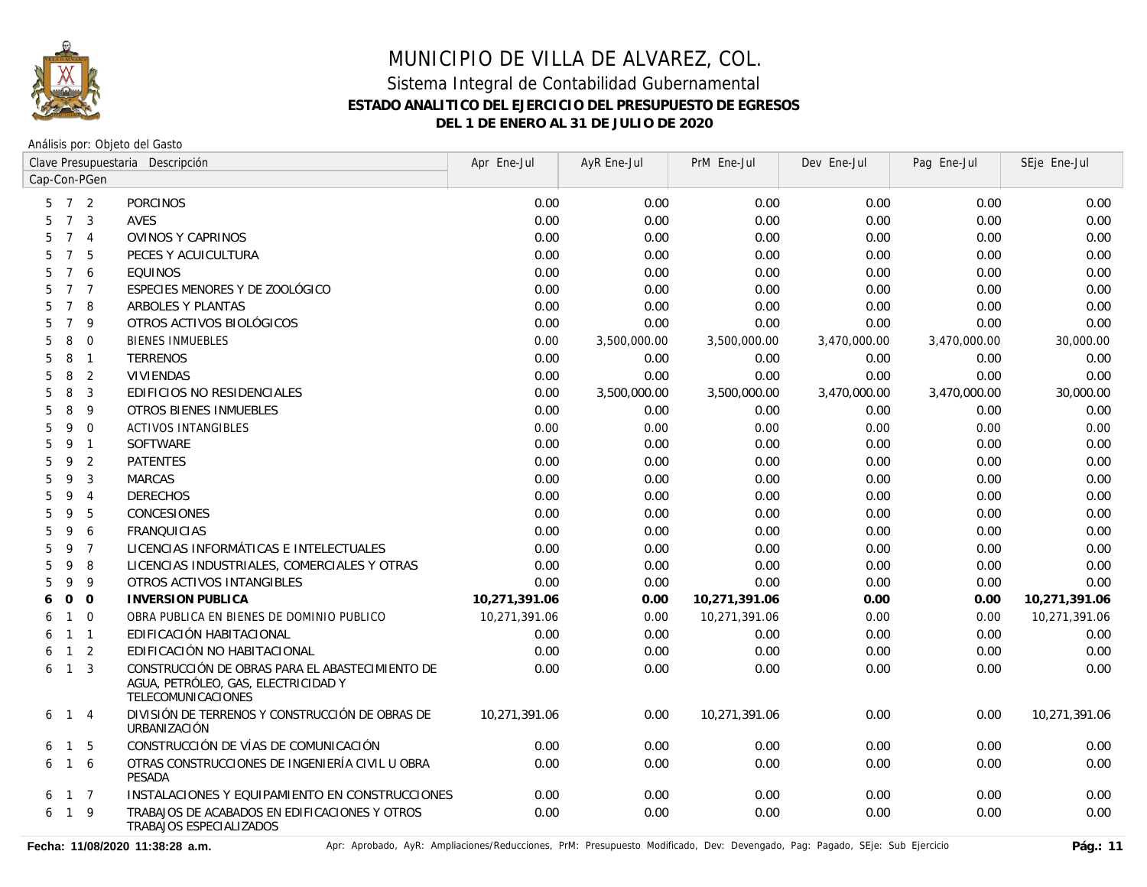

Análisis por: Objeto del Gasto

|                                        | Clave Presupuestaria Descripción                                                                             | Apr Ene-Jul   | AyR Ene-Jul  | PrM Ene-Jul   | Dev Ene-Jul  | Pag Ene-Jul  | SEje Ene-Jul  |
|----------------------------------------|--------------------------------------------------------------------------------------------------------------|---------------|--------------|---------------|--------------|--------------|---------------|
| Cap-Con-PGen                           |                                                                                                              |               |              |               |              |              |               |
| $7\overline{ }$<br>2<br>5              | <b>PORCINOS</b>                                                                                              | 0.00          | 0.00         | 0.00          | 0.00         | 0.00         | 0.00          |
| $7\overline{ }$<br>3<br>5              | <b>AVES</b>                                                                                                  | 0.00          | 0.00         | 0.00          | 0.00         | 0.00         | 0.00          |
| 5<br>$7\overline{ }$<br>$\overline{4}$ | <b>OVINOS Y CAPRINOS</b>                                                                                     | 0.00          | 0.00         | 0.00          | 0.00         | 0.00         | 0.00          |
| $\overline{7}$<br>5<br>5               | PECES Y ACUICULTURA                                                                                          | 0.00          | 0.00         | 0.00          | 0.00         | 0.00         | 0.00          |
| 5<br>$7\overline{ }$<br>6              | <b>EQUINOS</b>                                                                                               | 0.00          | 0.00         | 0.00          | 0.00         | 0.00         | 0.00          |
| $\overline{7}$<br>5<br>$\overline{7}$  | ESPECIES MENORES Y DE ZOOLÓGICO                                                                              | 0.00          | 0.00         | 0.00          | 0.00         | 0.00         | 0.00          |
| $\overline{7}$<br>8<br>5               | <b>ARBOLES Y PLANTAS</b>                                                                                     | 0.00          | 0.00         | 0.00          | 0.00         | 0.00         | 0.00          |
| 5<br>$7^{\circ}$<br>9                  | OTROS ACTIVOS BIOLÓGICOS                                                                                     | 0.00          | 0.00         | 0.00          | 0.00         | 0.00         | 0.00          |
| 5<br>8<br>$\Omega$                     | <b>BIENES INMUEBLES</b>                                                                                      | 0.00          | 3,500,000.00 | 3,500,000.00  | 3,470,000.00 | 3,470,000.00 | 30,000.00     |
| 5<br>8<br>$\overline{1}$               | <b>TERRENOS</b>                                                                                              | 0.00          | 0.00         | 0.00          | 0.00         | 0.00         | 0.00          |
| 2<br>8<br>5                            | <b>VIVIENDAS</b>                                                                                             | 0.00          | 0.00         | 0.00          | 0.00         | 0.00         | 0.00          |
| 8<br>3<br>5                            | EDIFICIOS NO RESIDENCIALES                                                                                   | 0.00          | 3,500,000.00 | 3,500,000.00  | 3,470,000.00 | 3,470,000.00 | 30,000.00     |
| 5<br>8<br>9                            | OTROS BIENES INMUEBLES                                                                                       | 0.00          | 0.00         | 0.00          | 0.00         | 0.00         | 0.00          |
| 5<br>9<br>$\mathbf 0$                  | <b>ACTIVOS INTANGIBLES</b>                                                                                   | 0.00          | 0.00         | 0.00          | 0.00         | 0.00         | 0.00          |
| 5<br>$\overline{1}$<br>9               | <b>SOFTWARE</b>                                                                                              | 0.00          | 0.00         | 0.00          | 0.00         | 0.00         | 0.00          |
| 5<br>9<br>2                            | <b>PATENTES</b>                                                                                              | 0.00          | 0.00         | 0.00          | 0.00         | 0.00         | 0.00          |
| 5<br>9<br>3                            | <b>MARCAS</b>                                                                                                | 0.00          | 0.00         | 0.00          | 0.00         | 0.00         | 0.00          |
| 5<br>9<br>$\overline{4}$               | <b>DERECHOS</b>                                                                                              | 0.00          | 0.00         | 0.00          | 0.00         | 0.00         | 0.00          |
| 9<br>5<br>5                            | CONCESIONES                                                                                                  | 0.00          | 0.00         | 0.00          | 0.00         | 0.00         | 0.00          |
| 9<br>5<br>6                            | <b>FRANQUICIAS</b>                                                                                           | 0.00          | 0.00         | 0.00          | 0.00         | 0.00         | 0.00          |
| $\overline{7}$<br>5<br>9               | LICENCIAS INFORMÁTICAS E INTELECTUALES                                                                       | 0.00          | 0.00         | 0.00          | 0.00         | 0.00         | 0.00          |
| 8<br>9<br>5                            | LICENCIAS INDUSTRIALES, COMERCIALES Y OTRAS                                                                  | 0.00          | 0.00         | 0.00          | 0.00         | 0.00         | 0.00          |
| 5<br>9<br>9                            | OTROS ACTIVOS INTANGIBLES                                                                                    | 0.00          | 0.00         | 0.00          | 0.00         | 0.00         | 0.00          |
| $\Omega$<br>$\Omega$<br>6              | <b>INVERSION PUBLICA</b>                                                                                     | 10,271,391.06 | 0.00         | 10,271,391.06 | 0.00         | 0.00         | 10,271,391.06 |
| $\mathbf{1}$<br>$\overline{0}$<br>6    | OBRA PUBLICA EN BIENES DE DOMINIO PUBLICO                                                                    | 10,271,391.06 | 0.00         | 10,271,391.06 | 0.00         | 0.00         | 10,271,391.06 |
| $1 \quad 1$<br>6                       | EDIFICACIÓN HABITACIONAL                                                                                     | 0.00          | 0.00         | 0.00          | 0.00         | 0.00         | 0.00          |
| 2<br>$\mathbf{1}$<br>6                 | EDIFICACIÓN NO HABITACIONAL                                                                                  | 0.00          | 0.00         | 0.00          | 0.00         | 0.00         | 0.00          |
| 3<br>$\mathbf{1}$<br>6                 | CONSTRUCCIÓN DE OBRAS PARA EL ABASTECIMIENTO DE<br>AGUA, PETRÓLEO, GAS, ELECTRICIDAD Y<br>TELECOMUNICACIONES | 0.00          | 0.00         | 0.00          | 0.00         | 0.00         | 0.00          |
| $\overline{1}$<br>$\overline{4}$<br>6  | DIVISIÓN DE TERRENOS Y CONSTRUCCIÓN DE OBRAS DE<br>URBANIZACIÓN                                              | 10.271.391.06 | 0.00         | 10.271.391.06 | 0.00         | 0.00         | 10.271.391.06 |
| 5<br>$\overline{1}$<br>6               | CONSTRUCCIÓN DE VÍAS DE COMUNICACIÓN                                                                         | 0.00          | 0.00         | 0.00          | 0.00         | 0.00         | 0.00          |
| 6<br>$\overline{1}$<br>6               | OTRAS CONSTRUCCIONES DE INGENIERÍA CIVIL U OBRA<br>PESADA                                                    | 0.00          | 0.00         | 0.00          | 0.00         | 0.00         | 0.00          |
| $1 \quad 7$<br>6                       | INSTALACIONES Y EQUIPAMIENTO EN CONSTRUCCIONES                                                               | 0.00          | 0.00         | 0.00          | 0.00         | 0.00         | 0.00          |
| $1 \quad 9$<br>6                       | TRABAJOS DE ACABADOS EN EDIFICACIONES Y OTROS<br>TRABAJOS ESPECIALIZADOS                                     | 0.00          | 0.00         | 0.00          | 0.00         | 0.00         | 0.00          |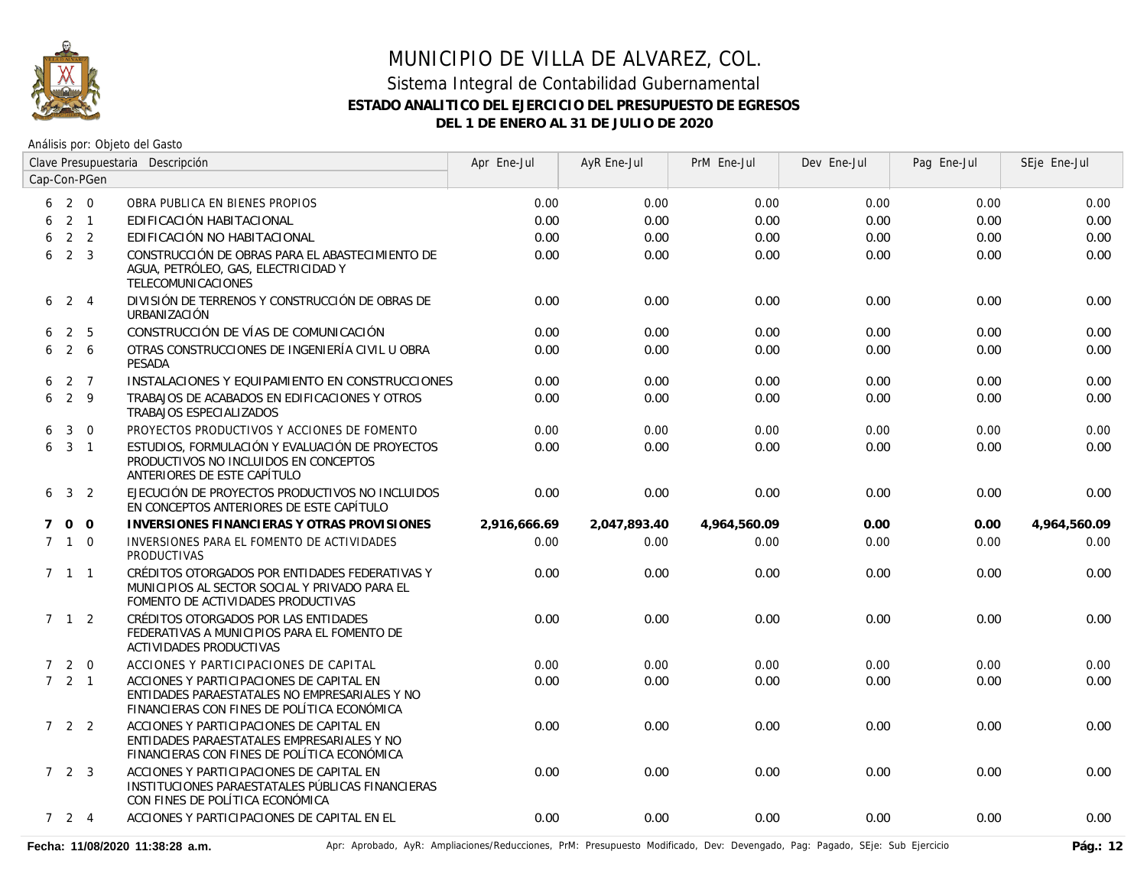

|   |                     |                 | Clave Presupuestaria Descripción                                                                                                         | Apr Ene-Jul  | AyR Ene-Jul  | PrM Ene-Jul  | Dev Ene-Jul | Pag Ene-Jul | SEje Ene-Jul |
|---|---------------------|-----------------|------------------------------------------------------------------------------------------------------------------------------------------|--------------|--------------|--------------|-------------|-------------|--------------|
|   |                     | Cap-Con-PGen    |                                                                                                                                          |              |              |              |             |             |              |
|   | $6\quad 2\quad 0$   |                 | OBRA PUBLICA EN BIENES PROPIOS                                                                                                           | 0.00         | 0.00         | 0.00         | 0.00        | 0.00        | 0.00         |
| 6 |                     | $2 \quad 1$     | EDIFICACIÓN HABITACIONAL                                                                                                                 | 0.00         | 0.00         | 0.00         | 0.00        | 0.00        | 0.00         |
| 6 |                     | 2 <sub>2</sub>  | EDIFICACIÓN NO HABITACIONAL                                                                                                              | 0.00         | 0.00         | 0.00         | 0.00        | 0.00        | 0.00         |
| 6 |                     | $2 \quad 3$     | CONSTRUCCIÓN DE OBRAS PARA EL ABASTECIMIENTO DE<br>AGUA, PETRÓLEO, GAS, ELECTRICIDAD Y<br><b>TELECOMUNICACIONES</b>                      | 0.00         | 0.00         | 0.00         | 0.00        | 0.00        | 0.00         |
| 6 | 2 4                 |                 | DIVISIÓN DE TERRENOS Y CONSTRUCCIÓN DE OBRAS DE<br>URBANIZACIÓN                                                                          | 0.00         | 0.00         | 0.00         | 0.00        | 0.00        | 0.00         |
| 6 |                     | 2 <sub>5</sub>  | CONSTRUCCIÓN DE VÍAS DE COMUNICACIÓN                                                                                                     | 0.00         | 0.00         | 0.00         | 0.00        | 0.00        | 0.00         |
| 6 |                     | $2\overline{6}$ | OTRAS CONSTRUCCIONES DE INGENIERÍA CIVIL U OBRA<br>PESADA                                                                                | 0.00         | 0.00         | 0.00         | 0.00        | 0.00        | 0.00         |
| 6 |                     | 2 7             | INSTALACIONES Y EQUIPAMIENTO EN CONSTRUCCIONES                                                                                           | 0.00         | 0.00         | 0.00         | 0.00        | 0.00        | 0.00         |
| 6 | $2 \quad 9$         |                 | TRABAJOS DE ACABADOS EN EDIFICACIONES Y OTROS<br>TRABAJOS ESPECIALIZADOS                                                                 | 0.00         | 0.00         | 0.00         | 0.00        | 0.00        | 0.00         |
| 6 | 3                   | $\overline{0}$  | PROYECTOS PRODUCTIVOS Y ACCIONES DE FOMENTO                                                                                              | 0.00         | 0.00         | 0.00         | 0.00        | 0.00        | 0.00         |
|   | $6\quad 3\quad 1$   |                 | ESTUDIOS, FORMULACIÓN Y EVALUACIÓN DE PROYECTOS<br>PRODUCTIVOS NO INCLUIDOS EN CONCEPTOS<br>ANTERIORES DE ESTE CAPÍTULO                  | 0.00         | 0.00         | 0.00         | 0.00        | 0.00        | 0.00         |
|   | $6\quad 3\quad 2$   |                 | EJECUCIÓN DE PROYECTOS PRODUCTIVOS NO INCLUIDOS<br>EN CONCEPTOS ANTERIORES DE ESTE CAPÍTULO                                              | 0.00         | 0.00         | 0.00         | 0.00        | 0.00        | 0.00         |
|   | 7 0 0               |                 | INVERSIONES FINANCIERAS Y OTRAS PROVISIONES                                                                                              | 2,916,666.69 | 2,047,893.40 | 4,964,560.09 | 0.00        | 0.00        | 4,964,560.09 |
|   | $7\quad1\quad0$     |                 | INVERSIONES PARA EL FOMENTO DE ACTIVIDADES<br><b>PRODUCTIVAS</b>                                                                         | 0.00         | 0.00         | 0.00         | 0.00        | 0.00        | 0.00         |
|   | $7 \quad 1 \quad 1$ |                 | CRÉDITOS OTORGADOS POR ENTIDADES FEDERATIVAS Y<br>MUNICIPIOS AL SECTOR SOCIAL Y PRIVADO PARA EL<br>FOMENTO DE ACTIVIDADES PRODUCTIVAS    | 0.00         | 0.00         | 0.00         | 0.00        | 0.00        | 0.00         |
|   | 7 1 2               |                 | CRÉDITOS OTORGADOS POR LAS ENTIDADES<br>FEDERATIVAS A MUNICIPIOS PARA EL FOMENTO DE<br>ACTIVIDADES PRODUCTIVAS                           | 0.00         | 0.00         | 0.00         | 0.00        | 0.00        | 0.00         |
|   | $7 2 0$             |                 | ACCIONES Y PARTICIPACIONES DE CAPITAL                                                                                                    | 0.00         | 0.00         | 0.00         | 0.00        | 0.00        | 0.00         |
|   | $7 \quad 2 \quad 1$ |                 | ACCIONES Y PARTICIPACIONES DE CAPITAL EN<br>ENTIDADES PARAESTATALES NO EMPRESARIALES Y NO<br>FINANCIERAS CON FINES DE POLÍTICA ECONÓMICA | 0.00         | 0.00         | 0.00         | 0.00        | 0.00        | 0.00         |
|   | 7 2 2               |                 | ACCIONES Y PARTICIPACIONES DE CAPITAL EN<br>ENTIDADES PARAESTATALES EMPRESARIALES Y NO<br>FINANCIERAS CON FINES DE POLÍTICA ECONÓMICA    | 0.00         | 0.00         | 0.00         | 0.00        | 0.00        | 0.00         |
|   | $7\quad2\quad3$     |                 | ACCIONES Y PARTICIPACIONES DE CAPITAL EN<br>INSTITUCIONES PARAESTATALES PÚBLICAS FINANCIERAS<br>CON FINES DE POLÍTICA ECONÓMICA          | 0.00         | 0.00         | 0.00         | 0.00        | 0.00        | 0.00         |
|   | $7\quad 2\quad 4$   |                 | ACCIONES Y PARTICIPACIONES DE CAPITAL EN EL                                                                                              | 0.00         | 0.00         | 0.00         | 0.00        | 0.00        | 0.00         |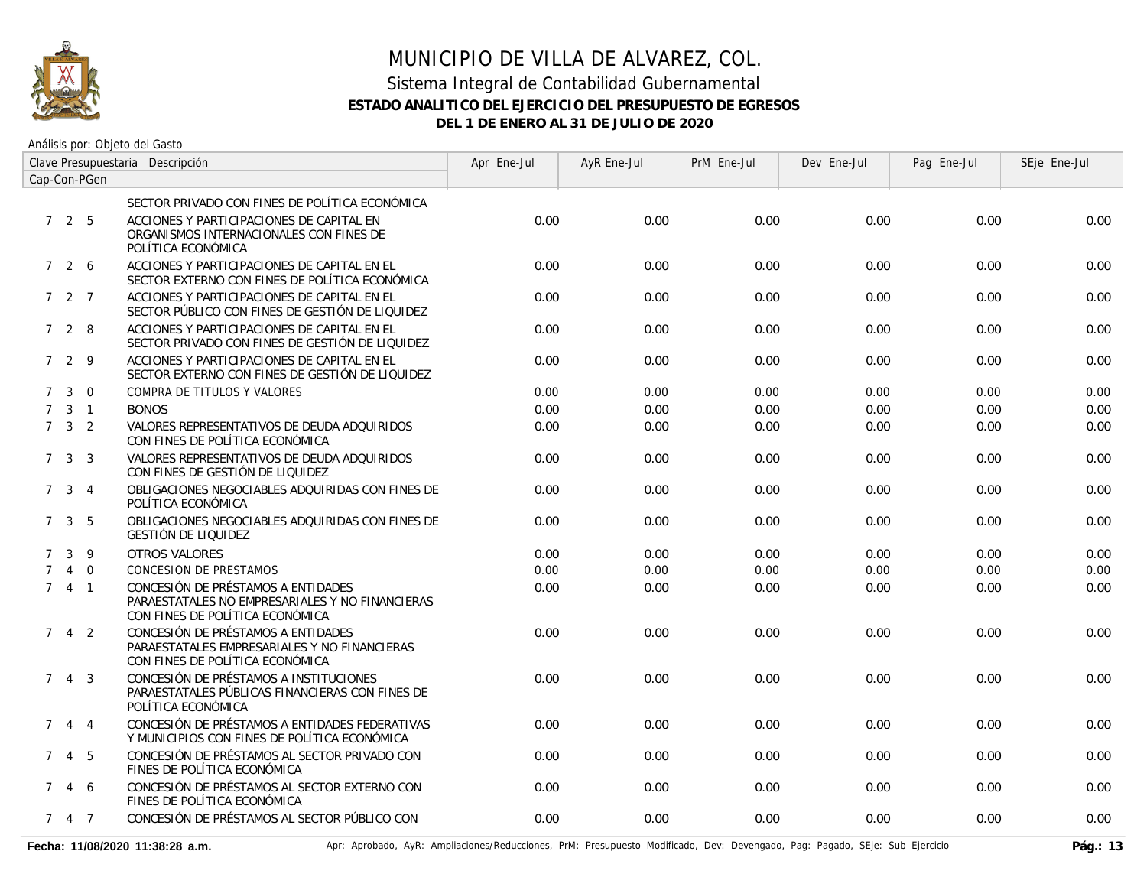

| Clave Presupuestaria Descripción |                     |                |                                                                                                                          | Apr Ene-Jul | AyR Ene-Jul | PrM Ene-Jul | Dev Ene-Jul | Pag Ene-Jul | SEje Ene-Jul |
|----------------------------------|---------------------|----------------|--------------------------------------------------------------------------------------------------------------------------|-------------|-------------|-------------|-------------|-------------|--------------|
| Cap-Con-PGen                     |                     |                |                                                                                                                          |             |             |             |             |             |              |
|                                  |                     |                | SECTOR PRIVADO CON FINES DE POLÍTICA ECONÓMICA                                                                           |             |             |             |             |             |              |
|                                  | 725                 |                | ACCIONES Y PARTICIPACIONES DE CAPITAL EN<br>ORGANISMOS INTERNACIONALES CON FINES DE<br>POLÍTICA ECONÓMICA                | 0.00        | 0.00        | 0.00        | 0.00        | 0.00        | 0.00         |
|                                  | 7 2 6               |                | ACCIONES Y PARTICIPACIONES DE CAPITAL EN EL<br>SECTOR EXTERNO CON FINES DE POLÍTICA ECONÓMICA                            | 0.00        | 0.00        | 0.00        | 0.00        | 0.00        | 0.00         |
|                                  | $727$               |                | ACCIONES Y PARTICIPACIONES DE CAPITAL EN EL<br>SECTOR PÚBLICO CON FINES DE GESTIÓN DE LIQUIDEZ                           | 0.00        | 0.00        | 0.00        | 0.00        | 0.00        | 0.00         |
|                                  | 728                 |                | ACCIONES Y PARTICIPACIONES DE CAPITAL EN EL<br>SECTOR PRIVADO CON FINES DE GESTIÓN DE LIQUIDEZ                           | 0.00        | 0.00        | 0.00        | 0.00        | 0.00        | 0.00         |
|                                  | 729                 |                | ACCIONES Y PARTICIPACIONES DE CAPITAL EN EL<br>SECTOR EXTERNO CON FINES DE GESTIÓN DE LIQUIDEZ                           | 0.00        | 0.00        | 0.00        | 0.00        | 0.00        | 0.00         |
| $7^{\circ}$                      | $\mathbf{3}$        | $\Omega$       | COMPRA DE TITULOS Y VALORES                                                                                              | 0.00        | 0.00        | 0.00        | 0.00        | 0.00        | 0.00         |
| $\mathcal{I}$                    |                     | $3 \quad 1$    | <b>BONOS</b>                                                                                                             | 0.00        | 0.00        | 0.00        | 0.00        | 0.00        | 0.00         |
|                                  | $7 \quad 3 \quad 2$ |                | VALORES REPRESENTATIVOS DE DEUDA ADQUIRIDOS<br>CON FINES DE POLÍTICA ECONÓMICA                                           | 0.00        | 0.00        | 0.00        | 0.00        | 0.00        | 0.00         |
| 7                                |                     | 3 <sup>3</sup> | VALORES REPRESENTATIVOS DE DEUDA ADQUIRIDOS<br>CON FINES DE GESTIÓN DE LIQUIDEZ                                          | 0.00        | 0.00        | 0.00        | 0.00        | 0.00        | 0.00         |
|                                  | 7 3 4               |                | OBLIGACIONES NEGOCIABLES ADQUIRIDAS CON FINES DE<br>POLÍTICA ECONÓMICA                                                   | 0.00        | 0.00        | 0.00        | 0.00        | 0.00        | 0.00         |
| $7^{\circ}$                      |                     | 3 <sub>5</sub> | OBLIGACIONES NEGOCIABLES ADQUIRIDAS CON FINES DE<br>GESTIÓN DE LIQUIDEZ                                                  | 0.00        | 0.00        | 0.00        | 0.00        | 0.00        | 0.00         |
| $\mathcal{I}$                    | 3                   | 9              | <b>OTROS VALORES</b>                                                                                                     | 0.00        | 0.00        | 0.00        | 0.00        | 0.00        | 0.00         |
| $\mathcal{I}$                    | $\overline{4}$      | $\overline{0}$ | <b>CONCESION DE PRESTAMOS</b>                                                                                            | 0.00        | 0.00        | 0.00        | 0.00        | 0.00        | 0.00         |
|                                  | 741                 |                | CONCESIÓN DE PRÉSTAMOS A ENTIDADES<br>PARAESTATALES NO EMPRESARIALES Y NO FINANCIERAS<br>CON FINES DE POLÍTICA ECONÓMICA | 0.00        | 0.00        | 0.00        | 0.00        | 0.00        | 0.00         |
| $7^{\circ}$                      |                     | 4 <sup>2</sup> | CONCESIÓN DE PRÉSTAMOS A ENTIDADES<br>PARAESTATALES EMPRESARIALES Y NO FINANCIERAS<br>CON FINES DE POLÍTICA ECONÓMICA    | 0.00        | 0.00        | 0.00        | 0.00        | 0.00        | 0.00         |
|                                  | $7 \t4 \t3$         |                | CONCESIÓN DE PRÉSTAMOS A INSTITUCIONES<br>PARAESTATALES PÚBLICAS FINANCIERAS CON FINES DE<br>POLÍTICA ECONÓMICA          | 0.00        | 0.00        | 0.00        | 0.00        | 0.00        | 0.00         |
| $7^{\circ}$                      | $\overline{4}$      | $\overline{4}$ | CONCESIÓN DE PRÉSTAMOS A ENTIDADES FEDERATIVAS<br>Y MUNICIPIOS CON FINES DE POLÍTICA ECONÓMICA                           | 0.00        | 0.00        | 0.00        | 0.00        | 0.00        | 0.00         |
| $7^{\circ}$                      |                     | 4 5            | CONCESIÓN DE PRÉSTAMOS AL SECTOR PRIVADO CON<br>FINES DE POLÍTICA ECONÓMICA                                              | 0.00        | 0.00        | 0.00        | 0.00        | 0.00        | 0.00         |
| $7^{\circ}$                      |                     | 4 6            | CONCESIÓN DE PRÉSTAMOS AL SECTOR EXTERNO CON<br>FINES DE POLÍTICA ECONÓMICA                                              | 0.00        | 0.00        | 0.00        | 0.00        | 0.00        | 0.00         |
|                                  | 7 4 7               |                | CONCESIÓN DE PRÉSTAMOS AL SECTOR PÚBLICO CON                                                                             | 0.00        | 0.00        | 0.00        | 0.00        | 0.00        | 0.00         |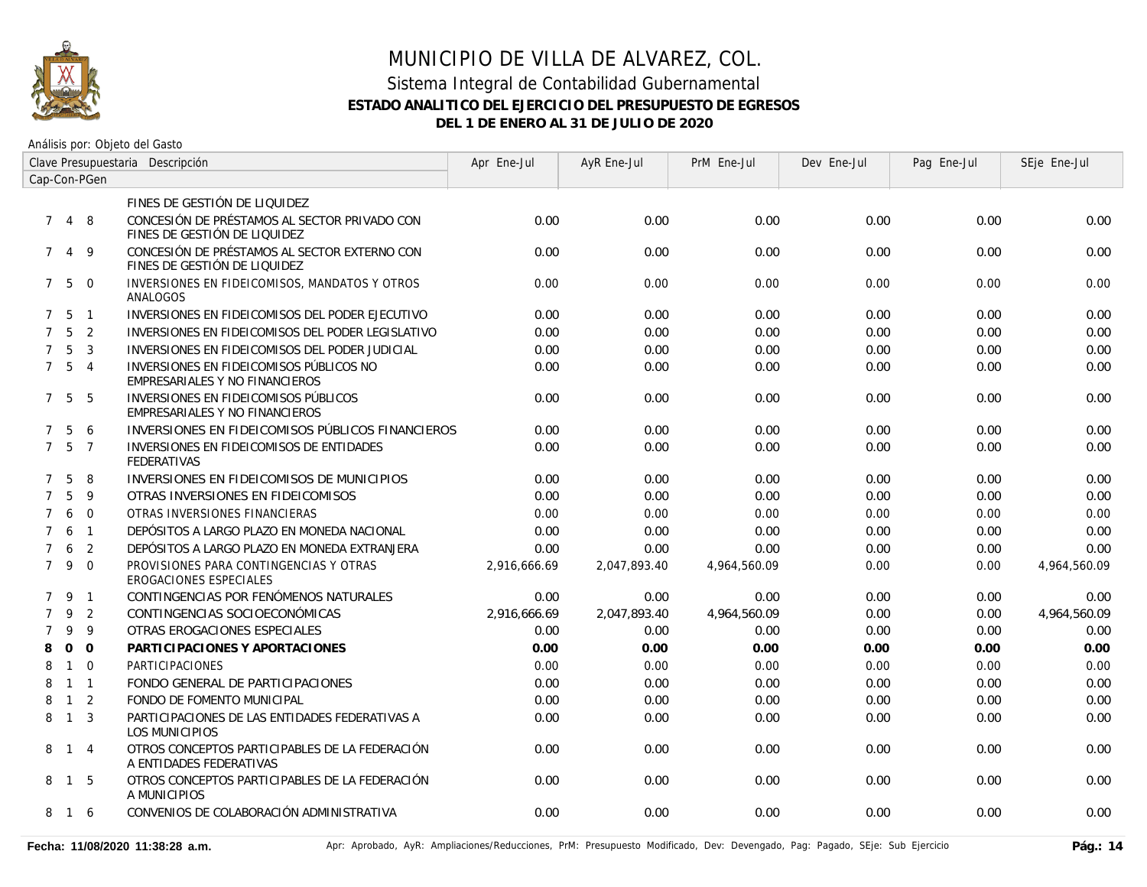

| Clave Presupuestaria Descripción |                   |                |                                                                              | Apr Ene-Jul  | AyR Ene-Jul  | PrM Ene-Jul  | Dev Ene-Jul | Pag Ene-Jul | SEje Ene-Jul |
|----------------------------------|-------------------|----------------|------------------------------------------------------------------------------|--------------|--------------|--------------|-------------|-------------|--------------|
|                                  |                   | Cap-Con-PGen   |                                                                              |              |              |              |             |             |              |
|                                  |                   |                | FINES DE GESTIÓN DE LIQUIDEZ                                                 |              |              |              |             |             |              |
| $7\phantom{0}$                   | 4 8               |                | CONCESIÓN DE PRÉSTAMOS AL SECTOR PRIVADO CON<br>FINES DE GESTIÓN DE LIQUIDEZ | 0.00         | 0.00         | 0.00         | 0.00        | 0.00        | 0.00         |
| 7                                | 4                 | - 9            | CONCESIÓN DE PRÉSTAMOS AL SECTOR EXTERNO CON<br>FINES DE GESTIÓN DE LIQUIDEZ | 0.00         | 0.00         | 0.00         | 0.00        | 0.00        | 0.00         |
|                                  | $7\quad 5\quad 0$ |                | INVERSIONES EN FIDEICOMISOS, MANDATOS Y OTROS<br>ANALOGOS                    | 0.00         | 0.00         | 0.00         | 0.00        | 0.00        | 0.00         |
|                                  | 7 <sub>5</sub>    | $\overline{1}$ | INVERSIONES EN FIDEICOMISOS DEL PODER EJECUTIVO                              | 0.00         | 0.00         | 0.00         | 0.00        | 0.00        | 0.00         |
| $7^{\circ}$                      | 5                 | 2              | INVERSIONES EN FIDEICOMISOS DEL PODER LEGISLATIVO                            | 0.00         | 0.00         | 0.00         | 0.00        | 0.00        | 0.00         |
| $7^{\circ}$                      | 5                 | $\overline{3}$ | INVERSIONES EN FIDEICOMISOS DEL PODER JUDICIAL                               | 0.00         | 0.00         | 0.00         | 0.00        | 0.00        | 0.00         |
| $7^{\circ}$                      | $5\overline{)}$   | $\overline{4}$ | INVERSIONES EN FIDEICOMISOS PÚBLICOS NO<br>EMPRESARIALES Y NO FINANCIEROS    | 0.00         | 0.00         | 0.00         | 0.00        | 0.00        | 0.00         |
|                                  | 7 5               | -5             | INVERSIONES EN FIDEICOMISOS PÚBLICOS<br>EMPRESARIALES Y NO FINANCIEROS       | 0.00         | 0.00         | 0.00         | 0.00        | 0.00        | 0.00         |
| $\mathcal{I}$                    | 5                 | 6              | INVERSIONES EN FIDEICOMISOS PÚBLICOS FINANCIEROS                             | 0.00         | 0.00         | 0.00         | 0.00        | 0.00        | 0.00         |
| $7^{\circ}$                      | 5                 | $\overline{7}$ | INVERSIONES EN FIDEICOMISOS DE ENTIDADES<br><b>FEDERATIVAS</b>               | 0.00         | 0.00         | 0.00         | 0.00        | 0.00        | 0.00         |
| $\mathcal{I}$                    | 5                 | 8              | INVERSIONES EN FIDEICOMISOS DE MUNICIPIOS                                    | 0.00         | 0.00         | 0.00         | 0.00        | 0.00        | 0.00         |
| $\overline{7}$                   | 5                 | 9              | OTRAS INVERSIONES EN FIDEICOMISOS                                            | 0.00         | 0.00         | 0.00         | 0.00        | 0.00        | 0.00         |
| $\overline{7}$                   | 6                 | $\mathbf 0$    | OTRAS INVERSIONES FINANCIERAS                                                | 0.00         | 0.00         | 0.00         | 0.00        | 0.00        | 0.00         |
| $\overline{7}$                   | 6                 | $\overline{1}$ | DEPÓSITOS A LARGO PLAZO EN MONEDA NACIONAL                                   | 0.00         | 0.00         | 0.00         | 0.00        | 0.00        | 0.00         |
| $\overline{7}$                   | 6                 | 2              | DEPÓSITOS A LARGO PLAZO EN MONEDA EXTRANJERA                                 | 0.00         | 0.00         | 0.00         | 0.00        | 0.00        | 0.00         |
| $7^{\circ}$                      | 9                 | $\overline{0}$ | PROVISIONES PARA CONTINGENCIAS Y OTRAS<br><b>EROGACIONES ESPECIALES</b>      | 2,916,666.69 | 2,047,893.40 | 4,964,560.09 | 0.00        | 0.00        | 4,964,560.09 |
|                                  | 7 9               | $\overline{1}$ | CONTINGENCIAS POR FENÓMENOS NATURALES                                        | 0.00         | 0.00         | 0.00         | 0.00        | 0.00        | 0.00         |
| $\overline{7}$                   | 9                 | 2              | CONTINGENCIAS SOCIOECONÓMICAS                                                | 2,916,666.69 | 2,047,893.40 | 4,964,560.09 | 0.00        | 0.00        | 4,964,560.09 |
| 7                                | 9                 | 9              | OTRAS EROGACIONES ESPECIALES                                                 | 0.00         | 0.00         | 0.00         | 0.00        | 0.00        | 0.00         |
| 8                                | $\Omega$          | $\Omega$       | PARTICIPACIONES Y APORTACIONES                                               | 0.00         | 0.00         | 0.00         | 0.00        | 0.00        | 0.00         |
| 8                                | $\mathbf{1}$      | $\overline{0}$ | PARTICIPACIONES                                                              | 0.00         | 0.00         | 0.00         | 0.00        | 0.00        | 0.00         |
| 8                                | $1 \quad 1$       |                | FONDO GENERAL DE PARTICIPACIONES                                             | 0.00         | 0.00         | 0.00         | 0.00        | 0.00        | 0.00         |
| 8                                | $\overline{1}$    | $\overline{2}$ | FONDO DE FOMENTO MUNICIPAL                                                   | 0.00         | 0.00         | 0.00         | 0.00        | 0.00        | 0.00         |
| 8                                | $\overline{1}$    | $\overline{3}$ | PARTICIPACIONES DE LAS ENTIDADES FEDERATIVAS A<br><b>LOS MUNICIPIOS</b>      | 0.00         | 0.00         | 0.00         | 0.00        | 0.00        | 0.00         |
| 8                                | 1 4               |                | OTROS CONCEPTOS PARTICIPABLES DE LA FEDERACIÓN<br>A ENTIDADES FEDERATIVAS    | 0.00         | 0.00         | 0.00         | 0.00        | 0.00        | 0.00         |
| 8                                | $\overline{1}$    | - 5            | OTROS CONCEPTOS PARTICIPABLES DE LA FEDERACIÓN<br>A MUNICIPIOS               | 0.00         | 0.00         | 0.00         | 0.00        | 0.00        | 0.00         |
| 8                                | 16                |                | CONVENIOS DE COLABORACIÓN ADMINISTRATIVA                                     | 0.00         | 0.00         | 0.00         | 0.00        | 0.00        | 0.00         |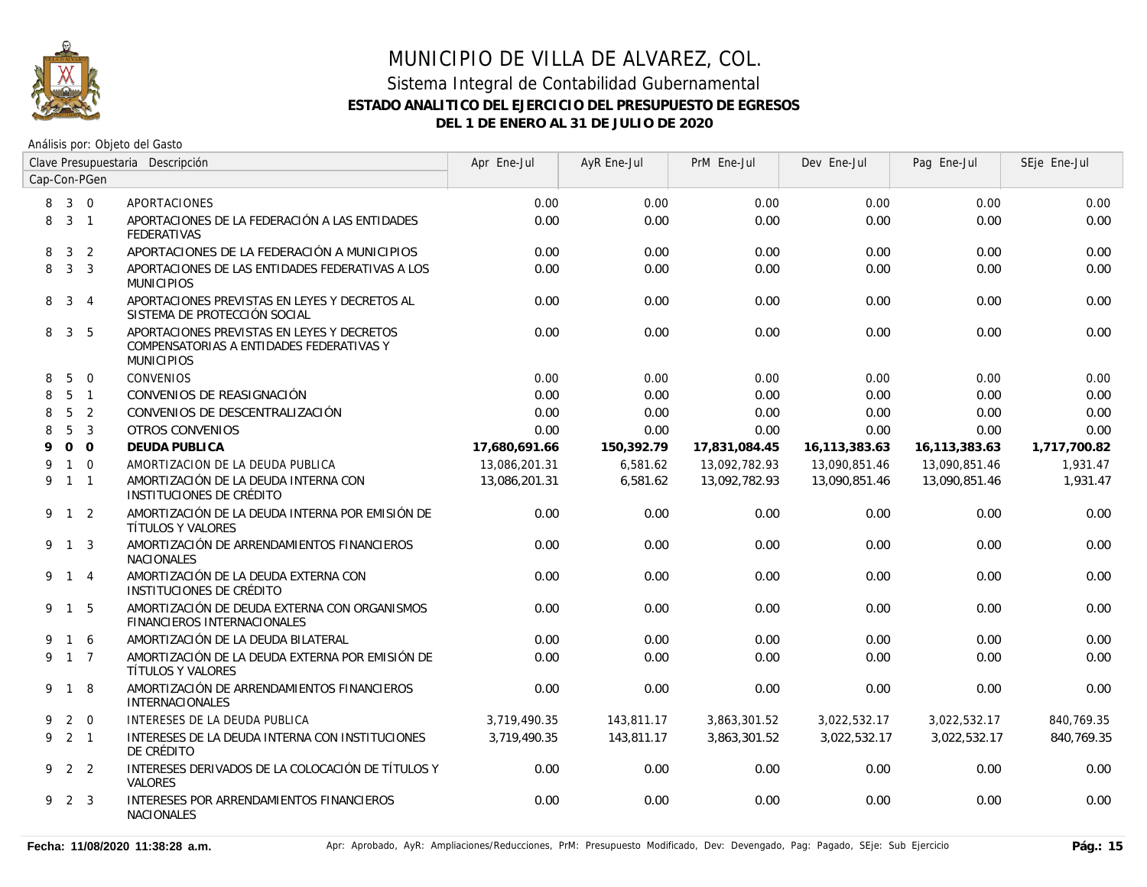

| Clave Presupuestaria Descripción |                |                |                                                                                                             | Apr Ene-Jul   | AyR Ene-Jul | PrM Ene-Jul   | Dev Ene-Jul   | Pag Ene-Jul   | SEje Ene-Jul |
|----------------------------------|----------------|----------------|-------------------------------------------------------------------------------------------------------------|---------------|-------------|---------------|---------------|---------------|--------------|
| Cap-Con-PGen                     |                |                |                                                                                                             |               |             |               |               |               |              |
|                                  | 8 3 0          |                | <b>APORTACIONES</b>                                                                                         | 0.00          | 0.00        | 0.00          | 0.00          | 0.00          | 0.00         |
| 8                                | $3 \quad 1$    |                | APORTACIONES DE LA FEDERACIÓN A LAS ENTIDADES<br><b>FEDERATIVAS</b>                                         | 0.00          | 0.00        | 0.00          | 0.00          | 0.00          | 0.00         |
| 8                                | $\mathbf{3}$   | 2              | APORTACIONES DE LA FEDERACIÓN A MUNICIPIOS                                                                  | 0.00          | 0.00        | 0.00          | 0.00          | 0.00          | 0.00         |
| 8                                | 3 <sup>3</sup> |                | APORTACIONES DE LAS ENTIDADES FEDERATIVAS A LOS<br><b>MUNICIPIOS</b>                                        | 0.00          | 0.00        | 0.00          | 0.00          | 0.00          | 0.00         |
| 8                                | $\mathbf{3}$   | $\overline{4}$ | APORTACIONES PREVISTAS EN LEYES Y DECRETOS AL<br>SISTEMA DE PROTECCIÓN SOCIAL                               | 0.00          | 0.00        | 0.00          | 0.00          | 0.00          | 0.00         |
| 8                                | $\mathbf{3}$   | 5              | APORTACIONES PREVISTAS EN LEYES Y DECRETOS<br>COMPENSATORIAS A ENTIDADES FEDERATIVAS Y<br><b>MUNICIPIOS</b> | 0.00          | 0.00        | 0.00          | 0.00          | 0.00          | 0.00         |
| 8                                | 5              | $\overline{0}$ | <b>CONVENIOS</b>                                                                                            | 0.00          | 0.00        | 0.00          | 0.00          | 0.00          | 0.00         |
| 8                                | 5              | $\overline{1}$ | CONVENIOS DE REASIGNACIÓN                                                                                   | 0.00          | 0.00        | 0.00          | 0.00          | 0.00          | 0.00         |
| 8                                | 5              | 2              | CONVENIOS DE DESCENTRALIZACIÓN                                                                              | 0.00          | 0.00        | 0.00          | 0.00          | 0.00          | 0.00         |
| 8                                | 5              | $\overline{3}$ | <b>OTROS CONVENIOS</b>                                                                                      | 0.00          | 0.00        | 0.00          | 0.00          | 0.00          | 0.00         |
| 9                                |                | 0 <sub>0</sub> | <b>DEUDA PUBLICA</b>                                                                                        | 17,680,691.66 | 150,392.79  | 17,831,084.45 | 16,113,383.63 | 16,113,383.63 | 1,717,700.82 |
| 9                                |                | $1\quad 0$     | AMORTIZACION DE LA DEUDA PUBLICA                                                                            | 13,086,201.31 | 6,581.62    | 13,092,782.93 | 13,090,851.46 | 13,090,851.46 | 1,931.47     |
| 9                                |                | $1 \quad 1$    | AMORTIZACIÓN DE LA DEUDA INTERNA CON<br>INSTITUCIONES DE CRÉDITO                                            | 13,086,201.31 | 6,581.62    | 13,092,782.93 | 13.090.851.46 | 13.090.851.46 | 1.931.47     |
|                                  | $9 \t1 \t2$    |                | AMORTIZACIÓN DE LA DEUDA INTERNA POR EMISIÓN DE<br>TÍTULOS Y VALORES                                        | 0.00          | 0.00        | 0.00          | 0.00          | 0.00          | 0.00         |
|                                  | 9 1 3          |                | AMORTIZACIÓN DE ARRENDAMIENTOS FINANCIEROS<br><b>NACIONALES</b>                                             | 0.00          | 0.00        | 0.00          | 0.00          | 0.00          | 0.00         |
|                                  | 9 1 4          |                | AMORTIZACIÓN DE LA DEUDA EXTERNA CON<br>INSTITUCIONES DE CRÉDITO                                            | 0.00          | 0.00        | 0.00          | 0.00          | 0.00          | 0.00         |
|                                  | 9 1 5          |                | AMORTIZACIÓN DE DEUDA EXTERNA CON ORGANISMOS<br>FINANCIEROS INTERNACIONALES                                 | 0.00          | 0.00        | 0.00          | 0.00          | 0.00          | 0.00         |
| 9                                |                | 1 6            | AMORTIZACIÓN DE LA DEUDA BILATERAL                                                                          | 0.00          | 0.00        | 0.00          | 0.00          | 0.00          | 0.00         |
| 9                                | $1\quad 7$     |                | AMORTIZACIÓN DE LA DEUDA EXTERNA POR EMISIÓN DE<br>TÍTULOS Y VALORES                                        | 0.00          | 0.00        | 0.00          | 0.00          | 0.00          | 0.00         |
|                                  | 9 1 8          |                | AMORTIZACIÓN DE ARRENDAMIENTOS FINANCIEROS<br>INTERNACIONALES                                               | 0.00          | 0.00        | 0.00          | 0.00          | 0.00          | 0.00         |
| 9                                |                | $2 \quad 0$    | INTERESES DE LA DEUDA PUBLICA                                                                               | 3,719,490.35  | 143,811.17  | 3,863,301.52  | 3,022,532.17  | 3,022,532.17  | 840,769.35   |
|                                  | 921            |                | INTERESES DE LA DEUDA INTERNA CON INSTITUCIONES<br>DE CRÉDITO                                               | 3.719.490.35  | 143,811.17  | 3,863,301.52  | 3,022,532.17  | 3.022.532.17  | 840.769.35   |
|                                  | 9 2 2          |                | INTERESES DERIVADOS DE LA COLOCACIÓN DE TÍTULOS Y<br>VALORES                                                | 0.00          | 0.00        | 0.00          | 0.00          | 0.00          | 0.00         |
|                                  | 9 2 3          |                | INTERESES POR ARRENDAMIENTOS FINANCIEROS<br><b>NACIONALES</b>                                               | 0.00          | 0.00        | 0.00          | 0.00          | 0.00          | 0.00         |